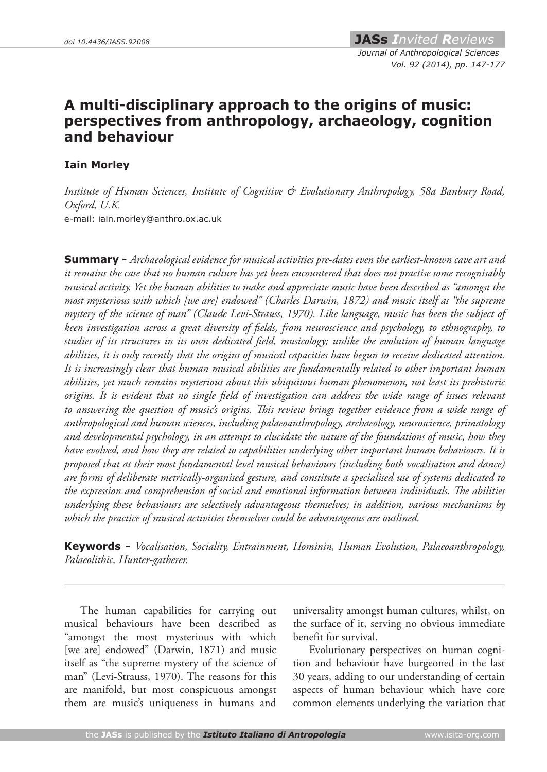# **A multi-disciplinary approach to the origins of music: perspectives from anthropology, archaeology, cognition and behaviour**

# **Iain Morley**

*Institute of Human Sciences, Institute of Cognitive & Evolutionary Anthropology, 58a Banbury Road, Oxford, U.K.* 

e-mail: iain.morley@anthro.ox.ac.uk

**Summary -** *Archaeological evidence for musical activities pre-dates even the earliest-known cave art and it remains the case that no human culture has yet been encountered that does not practise some recognisably musical activity. Yet the human abilities to make and appreciate music have been described as "amongst the most mysterious with which [we are] endowed" (Charles Darwin, 1872) and music itself as "the supreme mystery of the science of man" (Claude Levi-Strauss, 1970). Like language, music has been the subject of keen investigation across a great diversity of fields, from neuroscience and psychology, to ethnography, to studies of its structures in its own dedicated field, musicology; unlike the evolution of human language abilities, it is only recently that the origins of musical capacities have begun to receive dedicated attention. It is increasingly clear that human musical abilities are fundamentally related to other important human abilities, yet much remains mysterious about this ubiquitous human phenomenon, not least its prehistoric origins. It is evident that no single field of investigation can address the wide range of issues relevant to answering the question of music's origins. This review brings together evidence from a wide range of anthropological and human sciences, including palaeoanthropology, archaeology, neuroscience, primatology and developmental psychology, in an attempt to elucidate the nature of the foundations of music, how they have evolved, and how they are related to capabilities underlying other important human behaviours. It is proposed that at their most fundamental level musical behaviours (including both vocalisation and dance) are forms of deliberate metrically-organised gesture, and constitute a specialised use of systems dedicated to the expression and comprehension of social and emotional information between individuals. The abilities underlying these behaviours are selectively advantageous themselves; in addition, various mechanisms by which the practice of musical activities themselves could be advantageous are outlined.*

**Keywords -** *Vocalisation, Sociality, Entrainment, Hominin, Human Evolution, Palaeoanthropology, Palaeolithic, Hunter-gatherer.*

The human capabilities for carrying out musical behaviours have been described as "amongst the most mysterious with which [we are] endowed" (Darwin, 1871) and music itself as "the supreme mystery of the science of man" (Levi-Strauss, 1970). The reasons for this are manifold, but most conspicuous amongst them are music's uniqueness in humans and

universality amongst human cultures, whilst, on the surface of it, serving no obvious immediate benefit for survival.

Evolutionary perspectives on human cognition and behaviour have burgeoned in the last 30 years, adding to our understanding of certain aspects of human behaviour which have core common elements underlying the variation that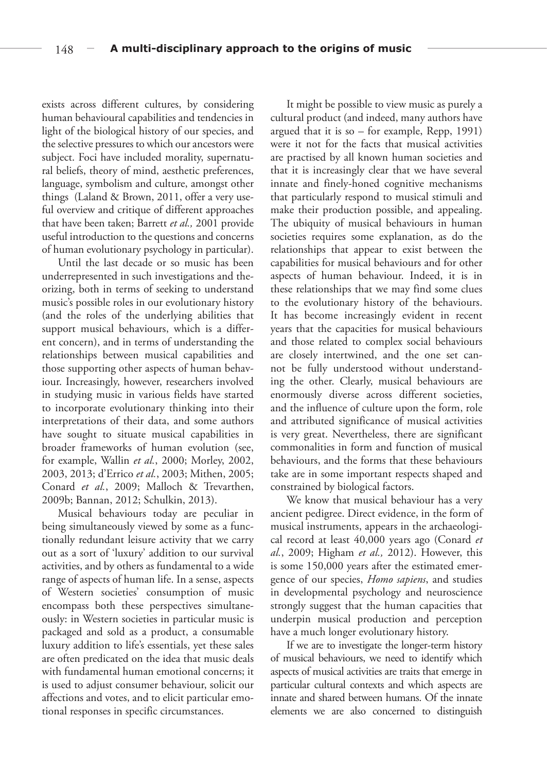exists across different cultures, by considering human behavioural capabilities and tendencies in light of the biological history of our species, and the selective pressures to which our ancestors were subject. Foci have included morality, supernatural beliefs, theory of mind, aesthetic preferences, language, symbolism and culture, amongst other things (Laland & Brown, 2011, offer a very useful overview and critique of different approaches that have been taken; Barrett *et al.,* 2001 provide useful introduction to the questions and concerns of human evolutionary psychology in particular).

Until the last decade or so music has been underrepresented in such investigations and theorizing, both in terms of seeking to understand music's possible roles in our evolutionary history (and the roles of the underlying abilities that support musical behaviours, which is a different concern), and in terms of understanding the relationships between musical capabilities and those supporting other aspects of human behaviour. Increasingly, however, researchers involved in studying music in various fields have started to incorporate evolutionary thinking into their interpretations of their data, and some authors have sought to situate musical capabilities in broader frameworks of human evolution (see, for example, Wallin *et al.*, 2000; Morley, 2002, 2003, 2013; d'Errico *et al.*, 2003; Mithen, 2005; Conard *et al.*, 2009; Malloch & Trevarthen, 2009b; Bannan, 2012; Schulkin, 2013).

Musical behaviours today are peculiar in being simultaneously viewed by some as a functionally redundant leisure activity that we carry out as a sort of 'luxury' addition to our survival activities, and by others as fundamental to a wide range of aspects of human life. In a sense, aspects of Western societies' consumption of music encompass both these perspectives simultaneously: in Western societies in particular music is packaged and sold as a product, a consumable luxury addition to life's essentials, yet these sales are often predicated on the idea that music deals with fundamental human emotional concerns; it is used to adjust consumer behaviour, solicit our affections and votes, and to elicit particular emotional responses in specific circumstances.

It might be possible to view music as purely a cultural product (and indeed, many authors have argued that it is so – for example, Repp, 1991) were it not for the facts that musical activities are practised by all known human societies and that it is increasingly clear that we have several innate and finely-honed cognitive mechanisms that particularly respond to musical stimuli and make their production possible, and appealing. The ubiquity of musical behaviours in human societies requires some explanation, as do the relationships that appear to exist between the capabilities for musical behaviours and for other aspects of human behaviour. Indeed, it is in these relationships that we may find some clues to the evolutionary history of the behaviours. It has become increasingly evident in recent years that the capacities for musical behaviours and those related to complex social behaviours are closely intertwined, and the one set cannot be fully understood without understanding the other. Clearly, musical behaviours are enormously diverse across different societies, and the influence of culture upon the form, role and attributed significance of musical activities is very great. Nevertheless, there are significant commonalities in form and function of musical behaviours, and the forms that these behaviours take are in some important respects shaped and constrained by biological factors.

We know that musical behaviour has a very ancient pedigree. Direct evidence, in the form of musical instruments, appears in the archaeological record at least 40,000 years ago (Conard *et al.*, 2009; Higham *et al.,* 2012). However, this is some 150,000 years after the estimated emergence of our species, *Homo sapiens*, and studies in developmental psychology and neuroscience strongly suggest that the human capacities that underpin musical production and perception have a much longer evolutionary history.

If we are to investigate the longer-term history of musical behaviours, we need to identify which aspects of musical activities are traits that emerge in particular cultural contexts and which aspects are innate and shared between humans. Of the innate elements we are also concerned to distinguish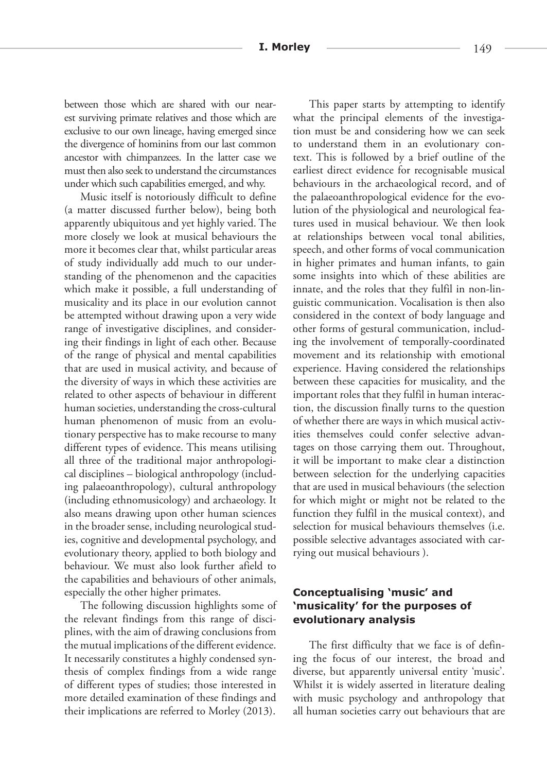between those which are shared with our nearest surviving primate relatives and those which are exclusive to our own lineage, having emerged since the divergence of hominins from our last common ancestor with chimpanzees. In the latter case we must then also seek to understand the circumstances under which such capabilities emerged, and why.

Music itself is notoriously difficult to define (a matter discussed further below), being both apparently ubiquitous and yet highly varied. The more closely we look at musical behaviours the more it becomes clear that, whilst particular areas of study individually add much to our understanding of the phenomenon and the capacities which make it possible, a full understanding of musicality and its place in our evolution cannot be attempted without drawing upon a very wide range of investigative disciplines, and considering their findings in light of each other. Because of the range of physical and mental capabilities that are used in musical activity, and because of the diversity of ways in which these activities are related to other aspects of behaviour in different human societies, understanding the cross-cultural human phenomenon of music from an evolutionary perspective has to make recourse to many different types of evidence. This means utilising all three of the traditional major anthropological disciplines – biological anthropology (including palaeoanthropology), cultural anthropology (including ethnomusicology) and archaeology. It also means drawing upon other human sciences in the broader sense, including neurological studies, cognitive and developmental psychology, and evolutionary theory, applied to both biology and behaviour. We must also look further afield to the capabilities and behaviours of other animals, especially the other higher primates.

The following discussion highlights some of the relevant findings from this range of disciplines, with the aim of drawing conclusions from the mutual implications of the different evidence. It necessarily constitutes a highly condensed synthesis of complex findings from a wide range of different types of studies; those interested in more detailed examination of these findings and their implications are referred to Morley (2013).

This paper starts by attempting to identify what the principal elements of the investigation must be and considering how we can seek to understand them in an evolutionary context. This is followed by a brief outline of the earliest direct evidence for recognisable musical behaviours in the archaeological record, and of the palaeoanthropological evidence for the evolution of the physiological and neurological features used in musical behaviour. We then look at relationships between vocal tonal abilities, speech, and other forms of vocal communication in higher primates and human infants, to gain some insights into which of these abilities are innate, and the roles that they fulfil in non-linguistic communication. Vocalisation is then also considered in the context of body language and other forms of gestural communication, including the involvement of temporally-coordinated movement and its relationship with emotional experience. Having considered the relationships between these capacities for musicality, and the important roles that they fulfil in human interaction, the discussion finally turns to the question of whether there are ways in which musical activities themselves could confer selective advantages on those carrying them out. Throughout, it will be important to make clear a distinction between selection for the underlying capacities that are used in musical behaviours (the selection for which might or might not be related to the function they fulfil in the musical context), and selection for musical behaviours themselves (i.e. possible selective advantages associated with carrying out musical behaviours ).

# **Conceptualising 'music' and 'musicality' for the purposes of evolutionary analysis**

The first difficulty that we face is of defining the focus of our interest, the broad and diverse, but apparently universal entity 'music'. Whilst it is widely asserted in literature dealing with music psychology and anthropology that all human societies carry out behaviours that are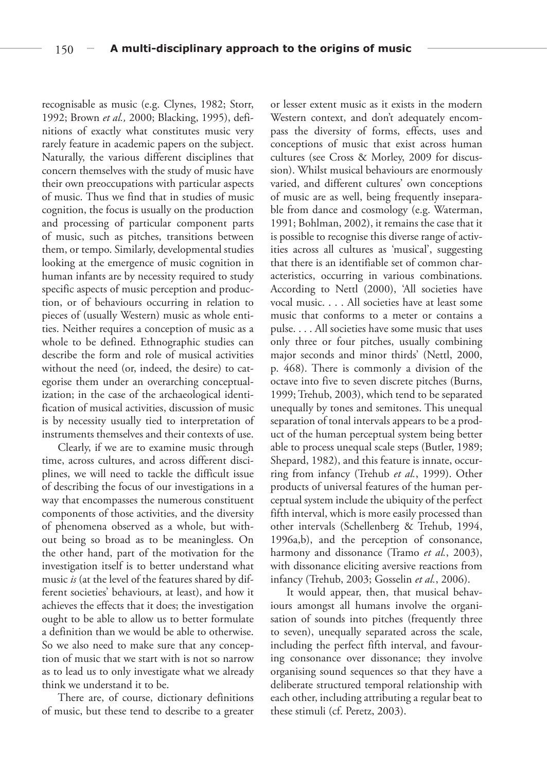recognisable as music (e.g. Clynes, 1982; Storr, 1992; Brown *et al.,* 2000; Blacking, 1995), definitions of exactly what constitutes music very rarely feature in academic papers on the subject. Naturally, the various different disciplines that concern themselves with the study of music have their own preoccupations with particular aspects of music. Thus we find that in studies of music cognition, the focus is usually on the production and processing of particular component parts of music, such as pitches, transitions between them, or tempo. Similarly, developmental studies looking at the emergence of music cognition in human infants are by necessity required to study specific aspects of music perception and production, or of behaviours occurring in relation to pieces of (usually Western) music as whole entities. Neither requires a conception of music as a whole to be defined. Ethnographic studies can describe the form and role of musical activities without the need (or, indeed, the desire) to categorise them under an overarching conceptualization; in the case of the archaeological identification of musical activities, discussion of music is by necessity usually tied to interpretation of instruments themselves and their contexts of use.

Clearly, if we are to examine music through time, across cultures, and across different disciplines, we will need to tackle the difficult issue of describing the focus of our investigations in a way that encompasses the numerous constituent components of those activities, and the diversity of phenomena observed as a whole, but without being so broad as to be meaningless. On the other hand, part of the motivation for the investigation itself is to better understand what music *is* (at the level of the features shared by different societies' behaviours, at least), and how it achieves the effects that it does; the investigation ought to be able to allow us to better formulate a definition than we would be able to otherwise. So we also need to make sure that any conception of music that we start with is not so narrow as to lead us to only investigate what we already think we understand it to be.

There are, of course, dictionary definitions of music, but these tend to describe to a greater

or lesser extent music as it exists in the modern Western context, and don't adequately encompass the diversity of forms, effects, uses and conceptions of music that exist across human cultures (see Cross & Morley, 2009 for discussion). Whilst musical behaviours are enormously varied, and different cultures' own conceptions of music are as well, being frequently inseparable from dance and cosmology (e.g. Waterman, 1991; Bohlman, 2002), it remains the case that it is possible to recognise this diverse range of activities across all cultures as 'musical', suggesting that there is an identifiable set of common characteristics, occurring in various combinations. According to Nettl (2000), 'All societies have vocal music. . . . All societies have at least some music that conforms to a meter or contains a pulse. . . . All societies have some music that uses only three or four pitches, usually combining major seconds and minor thirds' (Nettl, 2000, p. 468). There is commonly a division of the octave into five to seven discrete pitches (Burns, 1999; Trehub, 2003), which tend to be separated unequally by tones and semitones. This unequal separation of tonal intervals appears to be a product of the human perceptual system being better able to process unequal scale steps (Butler, 1989; Shepard, 1982), and this feature is innate, occurring from infancy (Trehub *et al.*, 1999). Other products of universal features of the human perceptual system include the ubiquity of the perfect fifth interval, which is more easily processed than other intervals (Schellenberg & Trehub, 1994, 1996a,b), and the perception of consonance, harmony and dissonance (Tramo *et al.*, 2003), with dissonance eliciting aversive reactions from infancy (Trehub, 2003; Gosselin *et al.*, 2006).

It would appear, then, that musical behaviours amongst all humans involve the organisation of sounds into pitches (frequently three to seven), unequally separated across the scale, including the perfect fifth interval, and favouring consonance over dissonance; they involve organising sound sequences so that they have a deliberate structured temporal relationship with each other, including attributing a regular beat to these stimuli (cf. Peretz, 2003).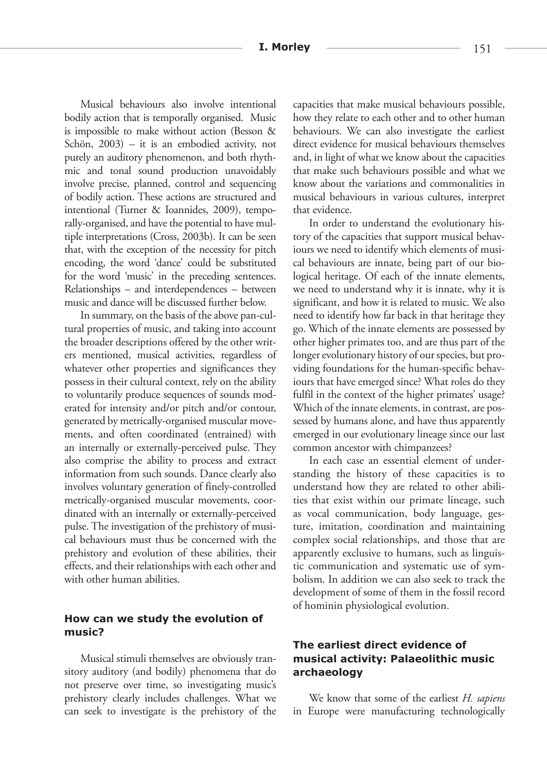Musical behaviours also involve intentional bodily action that is temporally organised. Music is impossible to make without action (Besson & Schön, 2003) – it is an embodied activity, not purely an auditory phenomenon, and both rhythmic and tonal sound production unavoidably involve precise, planned, control and sequencing of bodily action. These actions are structured and intentional (Turner & Ioannides, 2009), temporally-organised, and have the potential to have multiple interpretations (Cross, 2003b). It can be seen that, with the exception of the necessity for pitch encoding, the word 'dance' could be substituted for the word 'music' in the preceding sentences. Relationships – and interdependences – between music and dance will be discussed further below.

In summary, on the basis of the above pan-cultural properties of music, and taking into account the broader descriptions offered by the other writers mentioned, musical activities, regardless of whatever other properties and significances they possess in their cultural context, rely on the ability to voluntarily produce sequences of sounds moderated for intensity and/or pitch and/or contour, generated by metrically-organised muscular movements, and often coordinated (entrained) with an internally or externally-perceived pulse. They also comprise the ability to process and extract information from such sounds. Dance clearly also involves voluntary generation of finely-controlled metrically-organised muscular movements, coordinated with an internally or externally-perceived pulse. The investigation of the prehistory of musical behaviours must thus be concerned with the prehistory and evolution of these abilities, their effects, and their relationships with each other and with other human abilities.

#### **How can we study the evolution of music?**

Musical stimuli themselves are obviously transitory auditory (and bodily) phenomena that do not preserve over time, so investigating music's prehistory clearly includes challenges. What we can seek to investigate is the prehistory of the capacities that make musical behaviours possible, how they relate to each other and to other human behaviours. We can also investigate the earliest direct evidence for musical behaviours themselves and, in light of what we know about the capacities that make such behaviours possible and what we know about the variations and commonalities in musical behaviours in various cultures, interpret that evidence.

In order to understand the evolutionary history of the capacities that support musical behaviours we need to identify which elements of musical behaviours are innate, being part of our biological heritage. Of each of the innate elements, we need to understand why it is innate, why it is significant, and how it is related to music. We also need to identify how far back in that heritage they go. Which of the innate elements are possessed by other higher primates too, and are thus part of the longer evolutionary history of our species, but providing foundations for the human-specific behaviours that have emerged since? What roles do they fulfil in the context of the higher primates' usage? Which of the innate elements, in contrast, are possessed by humans alone, and have thus apparently emerged in our evolutionary lineage since our last common ancestor with chimpanzees?

In each case an essential element of understanding the history of these capacities is to understand how they are related to other abilities that exist within our primate lineage, such as vocal communication, body language, gesture, imitation, coordination and maintaining complex social relationships, and those that are apparently exclusive to humans, such as linguistic communication and systematic use of symbolism. In addition we can also seek to track the development of some of them in the fossil record of hominin physiological evolution.

# **The earliest direct evidence of musical activity: Palaeolithic music archaeology**

We know that some of the earliest *H. sapiens* in Europe were manufacturing technologically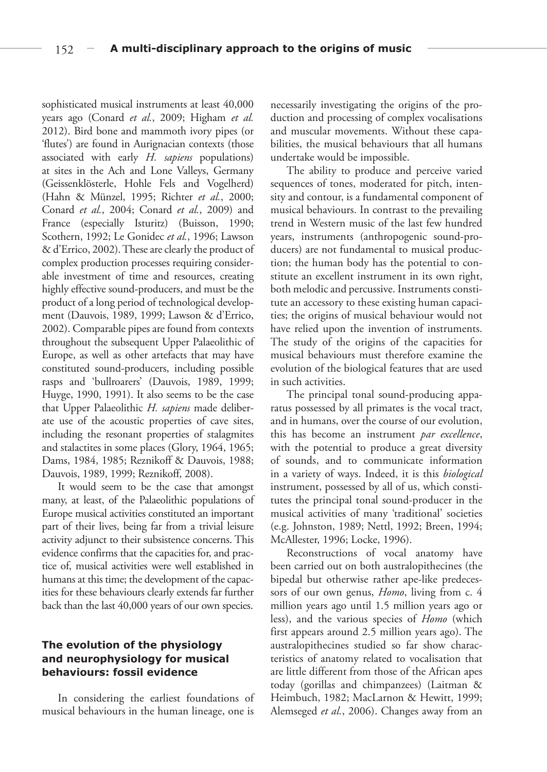sophisticated musical instruments at least 40,000 years ago (Conard *et al.*, 2009; Higham *et al.* 2012). Bird bone and mammoth ivory pipes (or 'flutes') are found in Aurignacian contexts (those associated with early *H. sapiens* populations) at sites in the Ach and Lone Valleys, Germany (Geissenklösterle, Hohle Fels and Vogelherd) (Hahn & Münzel, 1995; Richter *et al.*, 2000; Conard *et al.*, 2004; Conard *et al.*, 2009) and France (especially Isturitz) (Buisson, 1990; Scothern, 1992; Le Gonidec *et al.*, 1996; Lawson & d'Errico, 2002). These are clearly the product of complex production processes requiring considerable investment of time and resources, creating highly effective sound-producers, and must be the product of a long period of technological development (Dauvois, 1989, 1999; Lawson & d'Errico, 2002). Comparable pipes are found from contexts throughout the subsequent Upper Palaeolithic of Europe, as well as other artefacts that may have constituted sound-producers, including possible rasps and 'bullroarers' (Dauvois, 1989, 1999; Huyge, 1990, 1991). It also seems to be the case that Upper Palaeolithic *H. sapiens* made deliberate use of the acoustic properties of cave sites, including the resonant properties of stalagmites and stalactites in some places (Glory, 1964, 1965; Dams, 1984, 1985; Reznikoff & Dauvois, 1988; Dauvois, 1989, 1999; Reznikoff, 2008).

It would seem to be the case that amongst many, at least, of the Palaeolithic populations of Europe musical activities constituted an important part of their lives, being far from a trivial leisure activity adjunct to their subsistence concerns. This evidence confirms that the capacities for, and practice of, musical activities were well established in humans at this time; the development of the capacities for these behaviours clearly extends far further back than the last 40,000 years of our own species.

### **The evolution of the physiology and neurophysiology for musical behaviours: fossil evidence**

In considering the earliest foundations of musical behaviours in the human lineage, one is

necessarily investigating the origins of the production and processing of complex vocalisations and muscular movements. Without these capabilities, the musical behaviours that all humans undertake would be impossible.

The ability to produce and perceive varied sequences of tones, moderated for pitch, intensity and contour, is a fundamental component of musical behaviours. In contrast to the prevailing trend in Western music of the last few hundred years, instruments (anthropogenic sound-producers) are not fundamental to musical production; the human body has the potential to constitute an excellent instrument in its own right, both melodic and percussive. Instruments constitute an accessory to these existing human capacities; the origins of musical behaviour would not have relied upon the invention of instruments. The study of the origins of the capacities for musical behaviours must therefore examine the evolution of the biological features that are used in such activities.

The principal tonal sound-producing apparatus possessed by all primates is the vocal tract, and in humans, over the course of our evolution, this has become an instrument *par excellence*, with the potential to produce a great diversity of sounds, and to communicate information in a variety of ways. Indeed, it is this *biological* instrument, possessed by all of us, which constitutes the principal tonal sound-producer in the musical activities of many 'traditional' societies (e.g. Johnston, 1989; Nettl, 1992; Breen, 1994; McAllester, 1996; Locke, 1996).

Reconstructions of vocal anatomy have been carried out on both australopithecines (the bipedal but otherwise rather ape-like predecessors of our own genus, *Homo*, living from c. 4 million years ago until 1.5 million years ago or less), and the various species of *Homo* (which first appears around 2.5 million years ago). The australopithecines studied so far show characteristics of anatomy related to vocalisation that are little different from those of the African apes today (gorillas and chimpanzees) (Laitman & Heimbuch, 1982; MacLarnon & Hewitt, 1999; Alemseged *et al.*, 2006). Changes away from an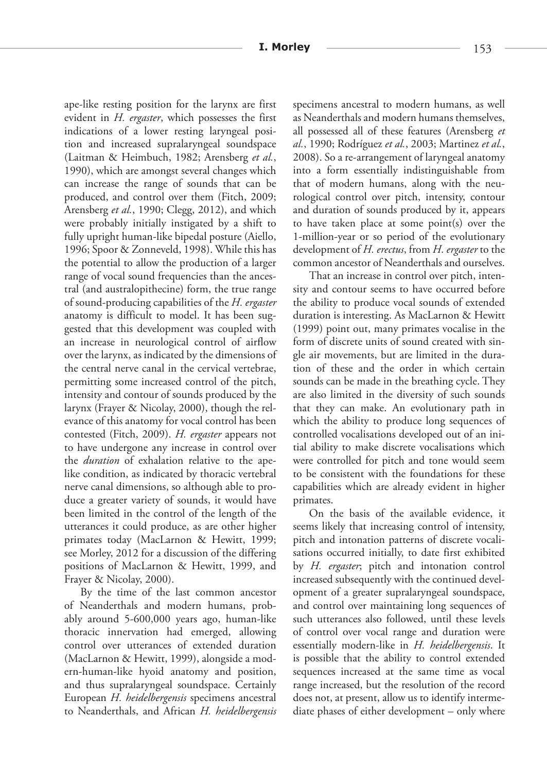ape-like resting position for the larynx are first evident in *H. ergaster*, which possesses the first indications of a lower resting laryngeal position and increased supralaryngeal soundspace (Laitman & Heimbuch, 1982; Arensberg *et al.*, 1990), which are amongst several changes which can increase the range of sounds that can be produced, and control over them (Fitch, 2009; Arensberg *et al.*, 1990; Clegg, 2012), and which were probably initially instigated by a shift to fully upright human-like bipedal posture (Aiello, 1996; Spoor & Zonneveld, 1998). While this has the potential to allow the production of a larger range of vocal sound frequencies than the ancestral (and australopithecine) form, the true range of sound-producing capabilities of the *H. ergaster* anatomy is difficult to model. It has been suggested that this development was coupled with an increase in neurological control of airflow over the larynx, as indicated by the dimensions of the central nerve canal in the cervical vertebrae, permitting some increased control of the pitch, intensity and contour of sounds produced by the larynx (Frayer & Nicolay, 2000), though the relevance of this anatomy for vocal control has been contested (Fitch, 2009). *H. ergaster* appears not to have undergone any increase in control over the *duration* of exhalation relative to the apelike condition, as indicated by thoracic vertebral nerve canal dimensions, so although able to produce a greater variety of sounds, it would have been limited in the control of the length of the utterances it could produce, as are other higher primates today (MacLarnon & Hewitt, 1999; see Morley, 2012 for a discussion of the differing positions of MacLarnon & Hewitt, 1999, and Frayer & Nicolay, 2000).

By the time of the last common ancestor of Neanderthals and modern humans, probably around 5-600,000 years ago, human-like thoracic innervation had emerged, allowing control over utterances of extended duration (MacLarnon & Hewitt, 1999), alongside a modern-human-like hyoid anatomy and position, and thus supralaryngeal soundspace. Certainly European *H. heidelbergensis* specimens ancestral to Neanderthals, and African *H. heidelbergensis* specimens ancestral to modern humans, as well as Neanderthals and modern humans themselves, all possessed all of these features (Arensberg *et al.*, 1990; Rodríguez *et al.*, 2003; Martinez *et al.*, 2008). So a re-arrangement of laryngeal anatomy into a form essentially indistinguishable from that of modern humans, along with the neurological control over pitch, intensity, contour and duration of sounds produced by it, appears to have taken place at some point(s) over the 1-million-year or so period of the evolutionary development of *H. erectus*, from *H. ergaster* to the common ancestor of Neanderthals and ourselves.

That an increase in control over pitch, intensity and contour seems to have occurred before the ability to produce vocal sounds of extended duration is interesting. As MacLarnon & Hewitt (1999) point out, many primates vocalise in the form of discrete units of sound created with single air movements, but are limited in the duration of these and the order in which certain sounds can be made in the breathing cycle. They are also limited in the diversity of such sounds that they can make. An evolutionary path in which the ability to produce long sequences of controlled vocalisations developed out of an initial ability to make discrete vocalisations which were controlled for pitch and tone would seem to be consistent with the foundations for these capabilities which are already evident in higher primates.

On the basis of the available evidence, it seems likely that increasing control of intensity, pitch and intonation patterns of discrete vocalisations occurred initially, to date first exhibited by *H. ergaster*; pitch and intonation control increased subsequently with the continued development of a greater supralaryngeal soundspace, and control over maintaining long sequences of such utterances also followed, until these levels of control over vocal range and duration were essentially modern-like in *H. heidelbergensis*. It is possible that the ability to control extended sequences increased at the same time as vocal range increased, but the resolution of the record does not, at present, allow us to identify intermediate phases of either development – only where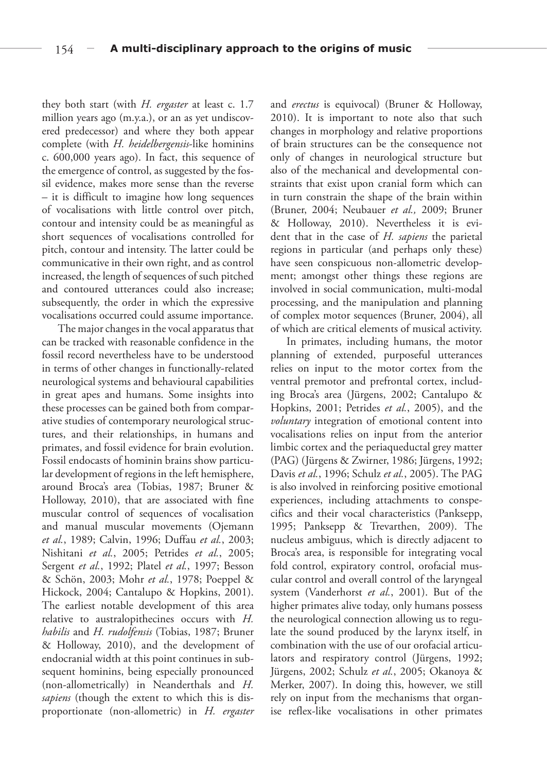they both start (with *H. ergaster* at least c. 1.7 million years ago (m.y.a.), or an as yet undiscovered predecessor) and where they both appear complete (with *H. heidelbergensis*-like hominins c. 600,000 years ago). In fact, this sequence of the emergence of control, as suggested by the fossil evidence, makes more sense than the reverse – it is difficult to imagine how long sequences of vocalisations with little control over pitch, contour and intensity could be as meaningful as short sequences of vocalisations controlled for pitch, contour and intensity. The latter could be communicative in their own right, and as control increased, the length of sequences of such pitched and contoured utterances could also increase; subsequently, the order in which the expressive vocalisations occurred could assume importance.

The major changes in the vocal apparatus that can be tracked with reasonable confidence in the fossil record nevertheless have to be understood in terms of other changes in functionally-related neurological systems and behavioural capabilities in great apes and humans. Some insights into these processes can be gained both from comparative studies of contemporary neurological structures, and their relationships, in humans and primates, and fossil evidence for brain evolution. Fossil endocasts of hominin brains show particular development of regions in the left hemisphere, around Broca's area (Tobias, 1987; Bruner & Holloway, 2010), that are associated with fine muscular control of sequences of vocalisation and manual muscular movements (Ojemann *et al.*, 1989; Calvin, 1996; Duffau *et al.*, 2003; Nishitani *et al.*, 2005; Petrides *et al.*, 2005; Sergent *et al.*, 1992; Platel *et al.*, 1997; Besson & Schön, 2003; Mohr *et al.*, 1978; Poeppel & Hickock, 2004; Cantalupo & Hopkins, 2001). The earliest notable development of this area relative to australopithecines occurs with *H. habilis* and *H. rudolfensis* (Tobias, 1987; Bruner & Holloway, 2010), and the development of endocranial width at this point continues in subsequent hominins, being especially pronounced (non-allometrically) in Neanderthals and *H. sapiens* (though the extent to which this is disproportionate (non-allometric) in *H. ergaster* and *erectus* is equivocal) (Bruner & Holloway, 2010). It is important to note also that such changes in morphology and relative proportions of brain structures can be the consequence not only of changes in neurological structure but also of the mechanical and developmental constraints that exist upon cranial form which can in turn constrain the shape of the brain within (Bruner, 2004; Neubauer *et al.,* 2009; Bruner & Holloway, 2010). Nevertheless it is evident that in the case of *H. sapiens* the parietal regions in particular (and perhaps only these) have seen conspicuous non-allometric development; amongst other things these regions are involved in social communication, multi-modal processing, and the manipulation and planning of complex motor sequences (Bruner, 2004), all of which are critical elements of musical activity.

In primates, including humans, the motor planning of extended, purposeful utterances relies on input to the motor cortex from the ventral premotor and prefrontal cortex, including Broca's area (Jürgens, 2002; Cantalupo & Hopkins, 2001; Petrides *et al.*, 2005), and the *voluntary* integration of emotional content into vocalisations relies on input from the anterior limbic cortex and the periaqueductal grey matter (PAG) (Jürgens & Zwirner, 1986; Jürgens, 1992; Davis *et al.*, 1996; Schulz *et al.*, 2005). The PAG is also involved in reinforcing positive emotional experiences, including attachments to conspecifics and their vocal characteristics (Panksepp, 1995; Panksepp & Trevarthen, 2009). The nucleus ambiguus, which is directly adjacent to Broca's area, is responsible for integrating vocal fold control, expiratory control, orofacial muscular control and overall control of the laryngeal system (Vanderhorst *et al.*, 2001). But of the higher primates alive today, only humans possess the neurological connection allowing us to regulate the sound produced by the larynx itself, in combination with the use of our orofacial articulators and respiratory control (Jürgens, 1992; Jürgens, 2002; Schulz *et al.*, 2005; Okanoya & Merker, 2007). In doing this, however, we still rely on input from the mechanisms that organise reflex-like vocalisations in other primates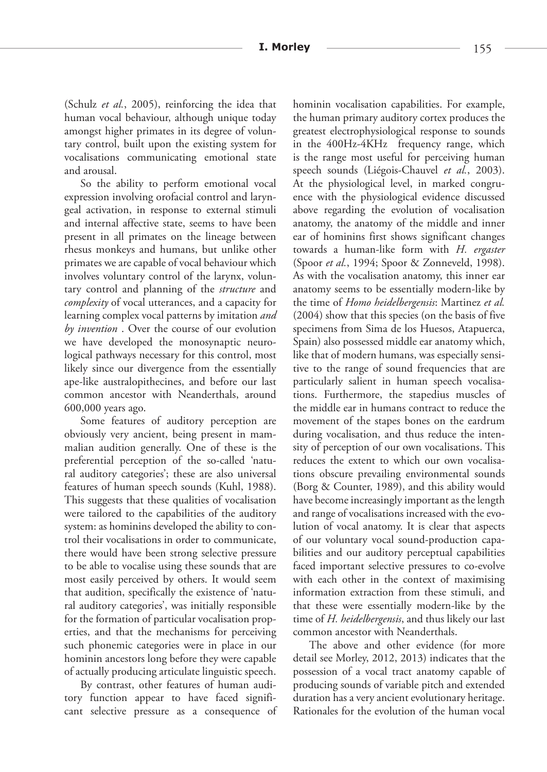(Schulz *et al.*, 2005), reinforcing the idea that human vocal behaviour, although unique today amongst higher primates in its degree of voluntary control, built upon the existing system for vocalisations communicating emotional state and arousal.

So the ability to perform emotional vocal expression involving orofacial control and laryngeal activation, in response to external stimuli and internal affective state, seems to have been present in all primates on the lineage between rhesus monkeys and humans, but unlike other primates we are capable of vocal behaviour which involves voluntary control of the larynx, voluntary control and planning of the *structure* and *complexity* of vocal utterances, and a capacity for learning complex vocal patterns by imitation *and by invention* . Over the course of our evolution we have developed the monosynaptic neurological pathways necessary for this control, most likely since our divergence from the essentially ape-like australopithecines, and before our last common ancestor with Neanderthals, around 600,000 years ago.

Some features of auditory perception are obviously very ancient, being present in mammalian audition generally. One of these is the preferential perception of the so-called 'natural auditory categories'; these are also universal features of human speech sounds (Kuhl, 1988). This suggests that these qualities of vocalisation were tailored to the capabilities of the auditory system: as hominins developed the ability to control their vocalisations in order to communicate, there would have been strong selective pressure to be able to vocalise using these sounds that are most easily perceived by others. It would seem that audition, specifically the existence of 'natural auditory categories', was initially responsible for the formation of particular vocalisation properties, and that the mechanisms for perceiving such phonemic categories were in place in our hominin ancestors long before they were capable of actually producing articulate linguistic speech.

By contrast, other features of human auditory function appear to have faced significant selective pressure as a consequence of hominin vocalisation capabilities. For example, the human primary auditory cortex produces the greatest electrophysiological response to sounds in the 400Hz-4KHz frequency range, which is the range most useful for perceiving human speech sounds (Liégois-Chauvel *et al.*, 2003). At the physiological level, in marked congruence with the physiological evidence discussed above regarding the evolution of vocalisation anatomy, the anatomy of the middle and inner ear of hominins first shows significant changes towards a human-like form with *H. ergaster* (Spoor *et al.*, 1994; Spoor & Zonneveld, 1998). As with the vocalisation anatomy, this inner ear anatomy seems to be essentially modern-like by the time of *Homo heidelbergensis*: Martinez *et al.* (2004) show that this species (on the basis of five specimens from Sima de los Huesos, Atapuerca, Spain) also possessed middle ear anatomy which, like that of modern humans, was especially sensitive to the range of sound frequencies that are particularly salient in human speech vocalisations. Furthermore, the stapedius muscles of the middle ear in humans contract to reduce the movement of the stapes bones on the eardrum during vocalisation, and thus reduce the intensity of perception of our own vocalisations. This reduces the extent to which our own vocalisations obscure prevailing environmental sounds (Borg & Counter, 1989), and this ability would have become increasingly important as the length and range of vocalisations increased with the evolution of vocal anatomy. It is clear that aspects of our voluntary vocal sound-production capabilities and our auditory perceptual capabilities faced important selective pressures to co-evolve with each other in the context of maximising information extraction from these stimuli, and that these were essentially modern-like by the time of *H. heidelbergensis*, and thus likely our last common ancestor with Neanderthals.

The above and other evidence (for more detail see Morley, 2012, 2013) indicates that the possession of a vocal tract anatomy capable of producing sounds of variable pitch and extended duration has a very ancient evolutionary heritage. Rationales for the evolution of the human vocal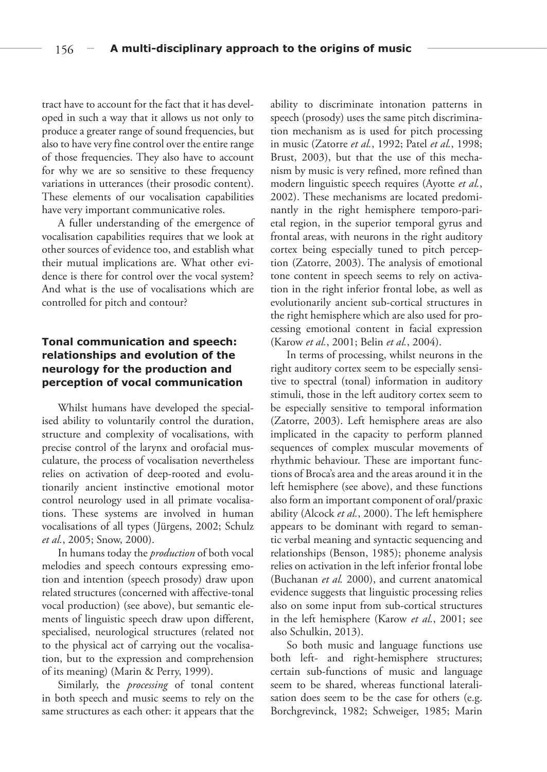tract have to account for the fact that it has developed in such a way that it allows us not only to produce a greater range of sound frequencies, but also to have very fine control over the entire range of those frequencies. They also have to account for why we are so sensitive to these frequency variations in utterances (their prosodic content). These elements of our vocalisation capabilities have very important communicative roles.

A fuller understanding of the emergence of vocalisation capabilities requires that we look at other sources of evidence too, and establish what their mutual implications are. What other evidence is there for control over the vocal system? And what is the use of vocalisations which are controlled for pitch and contour?

# **Tonal communication and speech: relationships and evolution of the neurology for the production and perception of vocal communication**

Whilst humans have developed the specialised ability to voluntarily control the duration, structure and complexity of vocalisations, with precise control of the larynx and orofacial musculature, the process of vocalisation nevertheless relies on activation of deep-rooted and evolutionarily ancient instinctive emotional motor control neurology used in all primate vocalisations. These systems are involved in human vocalisations of all types (Jürgens, 2002; Schulz *et al.*, 2005; Snow, 2000).

In humans today the *production* of both vocal melodies and speech contours expressing emotion and intention (speech prosody) draw upon related structures (concerned with affective-tonal vocal production) (see above), but semantic elements of linguistic speech draw upon different, specialised, neurological structures (related not to the physical act of carrying out the vocalisation, but to the expression and comprehension of its meaning) (Marin & Perry, 1999).

Similarly, the *processing* of tonal content in both speech and music seems to rely on the same structures as each other: it appears that the

ability to discriminate intonation patterns in speech (prosody) uses the same pitch discrimination mechanism as is used for pitch processing in music (Zatorre *et al.*, 1992; Patel *et al.*, 1998; Brust, 2003), but that the use of this mechanism by music is very refined, more refined than modern linguistic speech requires (Ayotte *et al.*, 2002). These mechanisms are located predominantly in the right hemisphere temporo-parietal region, in the superior temporal gyrus and frontal areas, with neurons in the right auditory cortex being especially tuned to pitch perception (Zatorre, 2003). The analysis of emotional tone content in speech seems to rely on activation in the right inferior frontal lobe, as well as evolutionarily ancient sub-cortical structures in the right hemisphere which are also used for processing emotional content in facial expression (Karow *et al.*, 2001; Belin *et al.*, 2004).

In terms of processing, whilst neurons in the right auditory cortex seem to be especially sensitive to spectral (tonal) information in auditory stimuli, those in the left auditory cortex seem to be especially sensitive to temporal information (Zatorre, 2003). Left hemisphere areas are also implicated in the capacity to perform planned sequences of complex muscular movements of rhythmic behaviour. These are important functions of Broca's area and the areas around it in the left hemisphere (see above), and these functions also form an important component of oral/praxic ability (Alcock *et al.*, 2000). The left hemisphere appears to be dominant with regard to semantic verbal meaning and syntactic sequencing and relationships (Benson, 1985); phoneme analysis relies on activation in the left inferior frontal lobe (Buchanan *et al.* 2000), and current anatomical evidence suggests that linguistic processing relies also on some input from sub-cortical structures in the left hemisphere (Karow *et al.*, 2001; see also Schulkin, 2013).

So both music and language functions use both left- and right-hemisphere structures; certain sub-functions of music and language seem to be shared, whereas functional lateralisation does seem to be the case for others (e.g. Borchgrevinck, 1982; Schweiger, 1985; Marin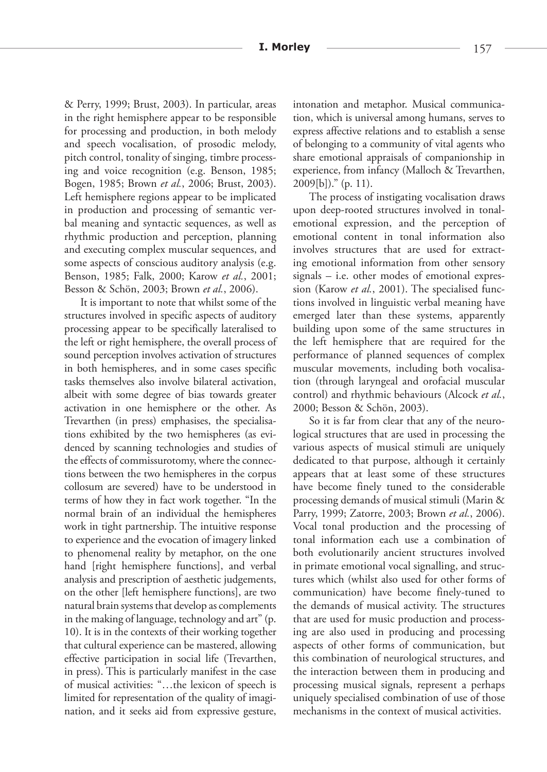& Perry, 1999; Brust, 2003). In particular, areas in the right hemisphere appear to be responsible for processing and production, in both melody and speech vocalisation, of prosodic melody, pitch control, tonality of singing, timbre processing and voice recognition (e.g. Benson, 1985; Bogen, 1985; Brown *et al.*, 2006; Brust, 2003). Left hemisphere regions appear to be implicated in production and processing of semantic verbal meaning and syntactic sequences, as well as rhythmic production and perception, planning and executing complex muscular sequences, and some aspects of conscious auditory analysis (e.g. Benson, 1985; Falk, 2000; Karow *et al.*, 2001; Besson & Schön, 2003; Brown *et al.*, 2006).

It is important to note that whilst some of the structures involved in specific aspects of auditory processing appear to be specifically lateralised to the left or right hemisphere, the overall process of sound perception involves activation of structures in both hemispheres, and in some cases specific tasks themselves also involve bilateral activation, albeit with some degree of bias towards greater activation in one hemisphere or the other. As Trevarthen (in press) emphasises, the specialisations exhibited by the two hemispheres (as evidenced by scanning technologies and studies of the effects of commissurotomy, where the connections between the two hemispheres in the corpus collosum are severed) have to be understood in terms of how they in fact work together. "In the normal brain of an individual the hemispheres work in tight partnership. The intuitive response to experience and the evocation of imagery linked to phenomenal reality by metaphor, on the one hand [right hemisphere functions], and verbal analysis and prescription of aesthetic judgements, on the other [left hemisphere functions], are two natural brain systems that develop as complements in the making of language, technology and art" (p. 10). It is in the contexts of their working together that cultural experience can be mastered, allowing effective participation in social life (Trevarthen, in press). This is particularly manifest in the case of musical activities: "…the lexicon of speech is limited for representation of the quality of imagination, and it seeks aid from expressive gesture,

intonation and metaphor. Musical communication, which is universal among humans, serves to express affective relations and to establish a sense of belonging to a community of vital agents who share emotional appraisals of companionship in experience, from infancy (Malloch & Trevarthen,  $2009[b]$ )." (p. 11).

The process of instigating vocalisation draws upon deep-rooted structures involved in tonalemotional expression, and the perception of emotional content in tonal information also involves structures that are used for extracting emotional information from other sensory signals – i.e. other modes of emotional expression (Karow *et al.*, 2001). The specialised functions involved in linguistic verbal meaning have emerged later than these systems, apparently building upon some of the same structures in the left hemisphere that are required for the performance of planned sequences of complex muscular movements, including both vocalisation (through laryngeal and orofacial muscular control) and rhythmic behaviours (Alcock *et al.*, 2000; Besson & Schön, 2003).

So it is far from clear that any of the neurological structures that are used in processing the various aspects of musical stimuli are uniquely dedicated to that purpose, although it certainly appears that at least some of these structures have become finely tuned to the considerable processing demands of musical stimuli (Marin & Parry, 1999; Zatorre, 2003; Brown *et al.*, 2006). Vocal tonal production and the processing of tonal information each use a combination of both evolutionarily ancient structures involved in primate emotional vocal signalling, and structures which (whilst also used for other forms of communication) have become finely-tuned to the demands of musical activity. The structures that are used for music production and processing are also used in producing and processing aspects of other forms of communication, but this combination of neurological structures, and the interaction between them in producing and processing musical signals, represent a perhaps uniquely specialised combination of use of those mechanisms in the context of musical activities.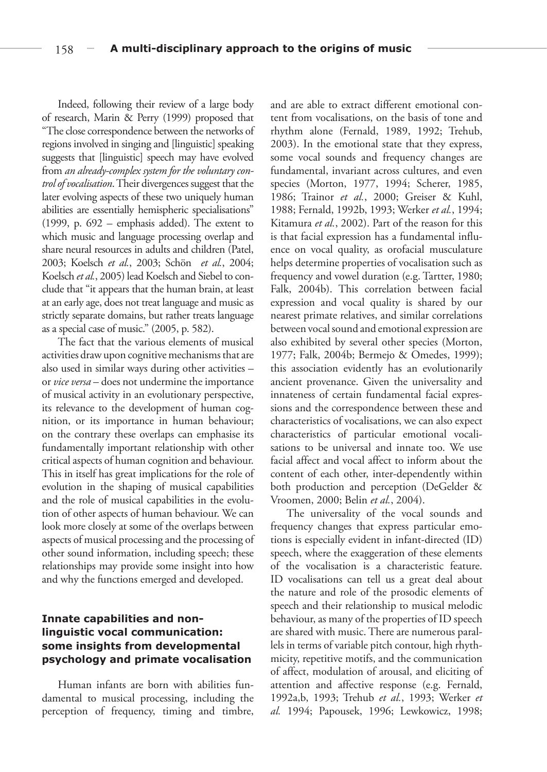Indeed, following their review of a large body of research, Marin & Perry (1999) proposed that "The close correspondence between the networks of regions involved in singing and [linguistic] speaking suggests that [linguistic] speech may have evolved from *an already-complex system for the voluntary control of vocalisation*. Their divergences suggest that the later evolving aspects of these two uniquely human abilities are essentially hemispheric specialisations" (1999, p. 692 – emphasis added). The extent to which music and language processing overlap and share neural resources in adults and children (Patel, 2003; Koelsch *et al.*, 2003; Schön *et al.*, 2004; Koelsch *et al.*, 2005) lead Koelsch and Siebel to conclude that "it appears that the human brain, at least at an early age, does not treat language and music as strictly separate domains, but rather treats language as a special case of music." (2005, p. 582).

The fact that the various elements of musical activities draw upon cognitive mechanisms that are also used in similar ways during other activities – or *vice versa* – does not undermine the importance of musical activity in an evolutionary perspective, its relevance to the development of human cognition, or its importance in human behaviour; on the contrary these overlaps can emphasise its fundamentally important relationship with other critical aspects of human cognition and behaviour. This in itself has great implications for the role of evolution in the shaping of musical capabilities and the role of musical capabilities in the evolution of other aspects of human behaviour. We can look more closely at some of the overlaps between aspects of musical processing and the processing of other sound information, including speech; these relationships may provide some insight into how and why the functions emerged and developed.

# **Innate capabilities and nonlinguistic vocal communication: some insights from developmental psychology and primate vocalisation**

Human infants are born with abilities fundamental to musical processing, including the perception of frequency, timing and timbre,

and are able to extract different emotional content from vocalisations, on the basis of tone and rhythm alone (Fernald, 1989, 1992; Trehub, 2003). In the emotional state that they express, some vocal sounds and frequency changes are fundamental, invariant across cultures, and even species (Morton, 1977, 1994; Scherer, 1985, 1986; Trainor *et al.*, 2000; Greiser & Kuhl, 1988; Fernald, 1992b, 1993; Werker *et al.*, 1994; Kitamura *et al.*, 2002). Part of the reason for this is that facial expression has a fundamental influence on vocal quality, as orofacial musculature helps determine properties of vocalisation such as frequency and vowel duration (e.g. Tartter, 1980; Falk, 2004b). This correlation between facial expression and vocal quality is shared by our nearest primate relatives, and similar correlations between vocal sound and emotional expression are also exhibited by several other species (Morton, 1977; Falk, 2004b; Bermejo & Omedes, 1999); this association evidently has an evolutionarily ancient provenance. Given the universality and innateness of certain fundamental facial expressions and the correspondence between these and characteristics of vocalisations, we can also expect characteristics of particular emotional vocalisations to be universal and innate too. We use facial affect and vocal affect to inform about the content of each other, inter-dependently within both production and perception (DeGelder & Vroomen, 2000; Belin *et al.*, 2004).

The universality of the vocal sounds and frequency changes that express particular emotions is especially evident in infant-directed (ID) speech, where the exaggeration of these elements of the vocalisation is a characteristic feature. ID vocalisations can tell us a great deal about the nature and role of the prosodic elements of speech and their relationship to musical melodic behaviour, as many of the properties of ID speech are shared with music. There are numerous parallels in terms of variable pitch contour, high rhythmicity, repetitive motifs, and the communication of affect, modulation of arousal, and eliciting of attention and affective response (e.g. Fernald, 1992a,b, 1993; Trehub *et al.*, 1993; Werker *et al.* 1994; Papousek, 1996; Lewkowicz, 1998;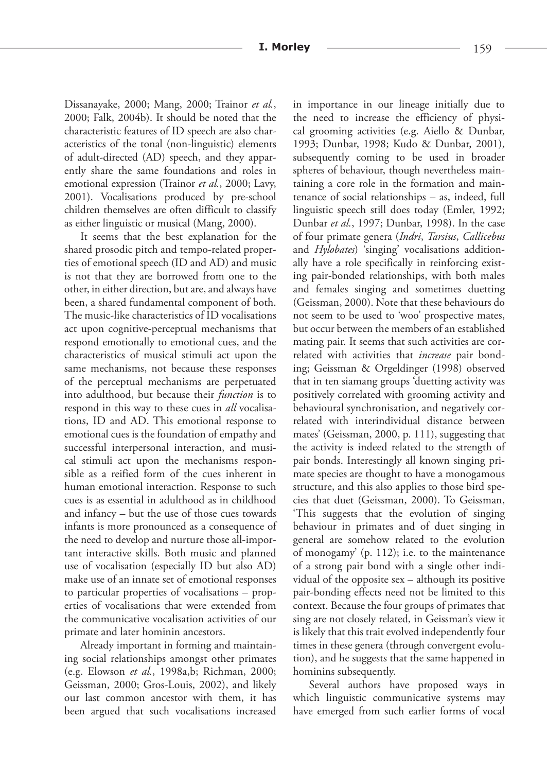Dissanayake, 2000; Mang, 2000; Trainor *et al.*, 2000; Falk, 2004b). It should be noted that the characteristic features of ID speech are also characteristics of the tonal (non-linguistic) elements of adult-directed (AD) speech, and they apparently share the same foundations and roles in emotional expression (Trainor *et al.*, 2000; Lavy, 2001). Vocalisations produced by pre-school children themselves are often difficult to classify as either linguistic or musical (Mang, 2000).

It seems that the best explanation for the shared prosodic pitch and tempo-related properties of emotional speech (ID and AD) and music is not that they are borrowed from one to the other, in either direction, but are, and always have been, a shared fundamental component of both. The music-like characteristics of ID vocalisations act upon cognitive-perceptual mechanisms that respond emotionally to emotional cues, and the characteristics of musical stimuli act upon the same mechanisms, not because these responses of the perceptual mechanisms are perpetuated into adulthood, but because their *function* is to respond in this way to these cues in *all* vocalisations, ID and AD. This emotional response to emotional cues is the foundation of empathy and successful interpersonal interaction, and musical stimuli act upon the mechanisms responsible as a reified form of the cues inherent in human emotional interaction. Response to such cues is as essential in adulthood as in childhood and infancy – but the use of those cues towards infants is more pronounced as a consequence of the need to develop and nurture those all-important interactive skills. Both music and planned use of vocalisation (especially ID but also AD) make use of an innate set of emotional responses to particular properties of vocalisations – properties of vocalisations that were extended from the communicative vocalisation activities of our primate and later hominin ancestors.

Already important in forming and maintaining social relationships amongst other primates (e.g. Elowson *et al.*, 1998a,b; Richman, 2000; Geissman, 2000; Gros-Louis, 2002), and likely our last common ancestor with them, it has been argued that such vocalisations increased in importance in our lineage initially due to the need to increase the efficiency of physical grooming activities (e.g. Aiello & Dunbar, 1993; Dunbar, 1998; Kudo & Dunbar, 2001), subsequently coming to be used in broader spheres of behaviour, though nevertheless maintaining a core role in the formation and maintenance of social relationships – as, indeed, full linguistic speech still does today (Emler, 1992; Dunbar *et al.*, 1997; Dunbar, 1998). In the case of four primate genera (*Indri*, *Tarsius*, *Callicebus* and *Hylobates*) 'singing' vocalisations additionally have a role specifically in reinforcing existing pair-bonded relationships, with both males and females singing and sometimes duetting (Geissman, 2000). Note that these behaviours do not seem to be used to 'woo' prospective mates, but occur between the members of an established mating pair. It seems that such activities are correlated with activities that *increase* pair bonding; Geissman & Orgeldinger (1998) observed that in ten siamang groups 'duetting activity was positively correlated with grooming activity and behavioural synchronisation, and negatively correlated with interindividual distance between mates' (Geissman, 2000, p. 111), suggesting that the activity is indeed related to the strength of pair bonds. Interestingly all known singing primate species are thought to have a monogamous structure, and this also applies to those bird species that duet (Geissman, 2000). To Geissman, 'This suggests that the evolution of singing behaviour in primates and of duet singing in general are somehow related to the evolution of monogamy' (p. 112); i.e. to the maintenance of a strong pair bond with a single other individual of the opposite sex – although its positive pair-bonding effects need not be limited to this context. Because the four groups of primates that sing are not closely related, in Geissman's view it is likely that this trait evolved independently four times in these genera (through convergent evolution), and he suggests that the same happened in hominins subsequently.

Several authors have proposed ways in which linguistic communicative systems may have emerged from such earlier forms of vocal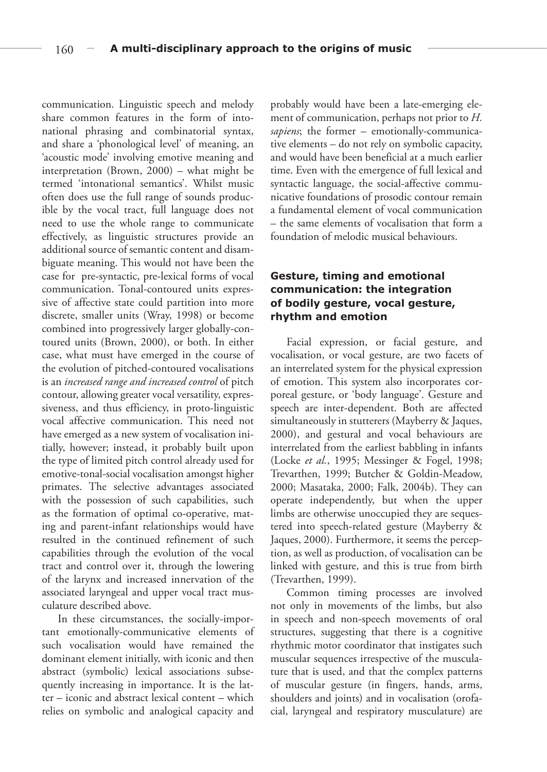communication. Linguistic speech and melody share common features in the form of intonational phrasing and combinatorial syntax, and share a 'phonological level' of meaning, an 'acoustic mode' involving emotive meaning and interpretation (Brown, 2000) – what might be termed 'intonational semantics'. Whilst music often does use the full range of sounds producible by the vocal tract, full language does not need to use the whole range to communicate effectively, as linguistic structures provide an additional source of semantic content and disambiguate meaning. This would not have been the case for pre-syntactic, pre-lexical forms of vocal communication. Tonal-contoured units expressive of affective state could partition into more discrete, smaller units (Wray, 1998) or become combined into progressively larger globally-contoured units (Brown, 2000), or both. In either case, what must have emerged in the course of the evolution of pitched-contoured vocalisations is an *increased range and increased control* of pitch contour, allowing greater vocal versatility, expressiveness, and thus efficiency, in proto-linguistic vocal affective communication. This need not have emerged as a new system of vocalisation initially, however; instead, it probably built upon the type of limited pitch control already used for emotive-tonal-social vocalisation amongst higher primates. The selective advantages associated with the possession of such capabilities, such as the formation of optimal co-operative, mating and parent-infant relationships would have resulted in the continued refinement of such capabilities through the evolution of the vocal tract and control over it, through the lowering of the larynx and increased innervation of the associated laryngeal and upper vocal tract musculature described above.

In these circumstances, the socially-important emotionally-communicative elements of such vocalisation would have remained the dominant element initially, with iconic and then abstract (symbolic) lexical associations subsequently increasing in importance. It is the latter – iconic and abstract lexical content – which relies on symbolic and analogical capacity and

probably would have been a late-emerging element of communication, perhaps not prior to *H. sapiens*; the former – emotionally-communicative elements – do not rely on symbolic capacity, and would have been beneficial at a much earlier time. Even with the emergence of full lexical and syntactic language, the social-affective communicative foundations of prosodic contour remain a fundamental element of vocal communication – the same elements of vocalisation that form a foundation of melodic musical behaviours.

## **Gesture, timing and emotional communication: the integration of bodily gesture, vocal gesture, rhythm and emotion**

Facial expression, or facial gesture, and vocalisation, or vocal gesture, are two facets of an interrelated system for the physical expression of emotion. This system also incorporates corporeal gesture, or 'body language'. Gesture and speech are inter-dependent. Both are affected simultaneously in stutterers (Mayberry & Jaques, 2000), and gestural and vocal behaviours are interrelated from the earliest babbling in infants (Locke *et al.*, 1995; Messinger & Fogel, 1998; Trevarthen, 1999; Butcher & Goldin-Meadow, 2000; Masataka, 2000; Falk, 2004b). They can operate independently, but when the upper limbs are otherwise unoccupied they are sequestered into speech-related gesture (Mayberry & Jaques, 2000). Furthermore, it seems the perception, as well as production, of vocalisation can be linked with gesture, and this is true from birth (Trevarthen, 1999).

Common timing processes are involved not only in movements of the limbs, but also in speech and non-speech movements of oral structures, suggesting that there is a cognitive rhythmic motor coordinator that instigates such muscular sequences irrespective of the musculature that is used, and that the complex patterns of muscular gesture (in fingers, hands, arms, shoulders and joints) and in vocalisation (orofacial, laryngeal and respiratory musculature) are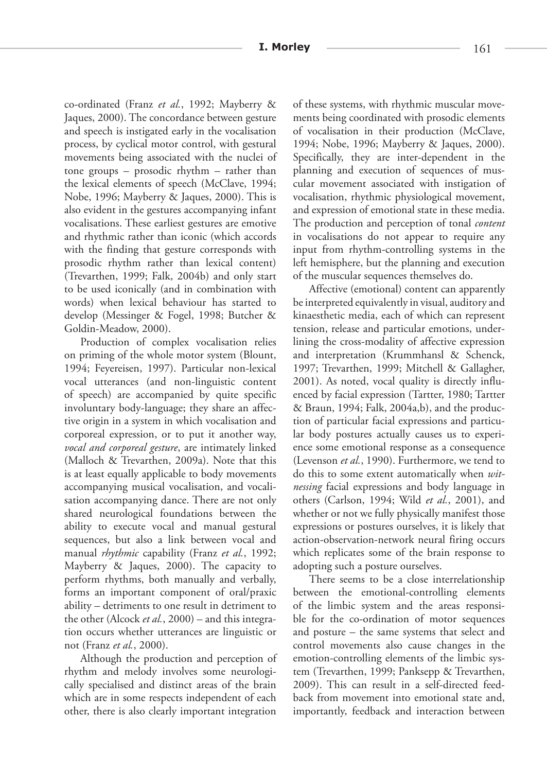co-ordinated (Franz *et al.*, 1992; Mayberry & Jaques, 2000). The concordance between gesture and speech is instigated early in the vocalisation process, by cyclical motor control, with gestural movements being associated with the nuclei of tone groups – prosodic rhythm – rather than the lexical elements of speech (McClave, 1994; Nobe, 1996; Mayberry & Jaques, 2000). This is also evident in the gestures accompanying infant vocalisations. These earliest gestures are emotive and rhythmic rather than iconic (which accords with the finding that gesture corresponds with prosodic rhythm rather than lexical content) (Trevarthen, 1999; Falk, 2004b) and only start to be used iconically (and in combination with words) when lexical behaviour has started to develop (Messinger & Fogel, 1998; Butcher & Goldin-Meadow, 2000).

Production of complex vocalisation relies on priming of the whole motor system (Blount, 1994; Feyereisen, 1997). Particular non-lexical vocal utterances (and non-linguistic content of speech) are accompanied by quite specific involuntary body-language; they share an affective origin in a system in which vocalisation and corporeal expression, or to put it another way, *vocal and corporeal gesture*, are intimately linked (Malloch & Trevarthen, 2009a). Note that this is at least equally applicable to body movements accompanying musical vocalisation, and vocalisation accompanying dance. There are not only shared neurological foundations between the ability to execute vocal and manual gestural sequences, but also a link between vocal and manual *rhythmic* capability (Franz *et al.*, 1992; Mayberry & Jaques, 2000). The capacity to perform rhythms, both manually and verbally, forms an important component of oral/praxic ability – detriments to one result in detriment to the other (Alcock *et al.*, 2000) – and this integration occurs whether utterances are linguistic or not (Franz *et al.*, 2000).

Although the production and perception of rhythm and melody involves some neurologically specialised and distinct areas of the brain which are in some respects independent of each other, there is also clearly important integration

of these systems, with rhythmic muscular movements being coordinated with prosodic elements of vocalisation in their production (McClave, 1994; Nobe, 1996; Mayberry & Jaques, 2000). Specifically, they are inter-dependent in the planning and execution of sequences of muscular movement associated with instigation of vocalisation, rhythmic physiological movement, and expression of emotional state in these media. The production and perception of tonal *content*  in vocalisations do not appear to require any input from rhythm-controlling systems in the left hemisphere, but the planning and execution of the muscular sequences themselves do.

Affective (emotional) content can apparently be interpreted equivalently in visual, auditory and kinaesthetic media, each of which can represent tension, release and particular emotions, underlining the cross-modality of affective expression and interpretation (Krummhansl & Schenck, 1997; Trevarthen, 1999; Mitchell & Gallagher, 2001). As noted, vocal quality is directly influenced by facial expression (Tartter, 1980; Tartter & Braun, 1994; Falk, 2004a,b), and the production of particular facial expressions and particular body postures actually causes us to experience some emotional response as a consequence (Levenson *et al.*, 1990). Furthermore, we tend to do this to some extent automatically when *witnessing* facial expressions and body language in others (Carlson, 1994; Wild *et al.*, 2001), and whether or not we fully physically manifest those expressions or postures ourselves, it is likely that action-observation-network neural firing occurs which replicates some of the brain response to adopting such a posture ourselves.

There seems to be a close interrelationship between the emotional-controlling elements of the limbic system and the areas responsible for the co-ordination of motor sequences and posture – the same systems that select and control movements also cause changes in the emotion-controlling elements of the limbic system (Trevarthen, 1999; Panksepp & Trevarthen, 2009). This can result in a self-directed feedback from movement into emotional state and, importantly, feedback and interaction between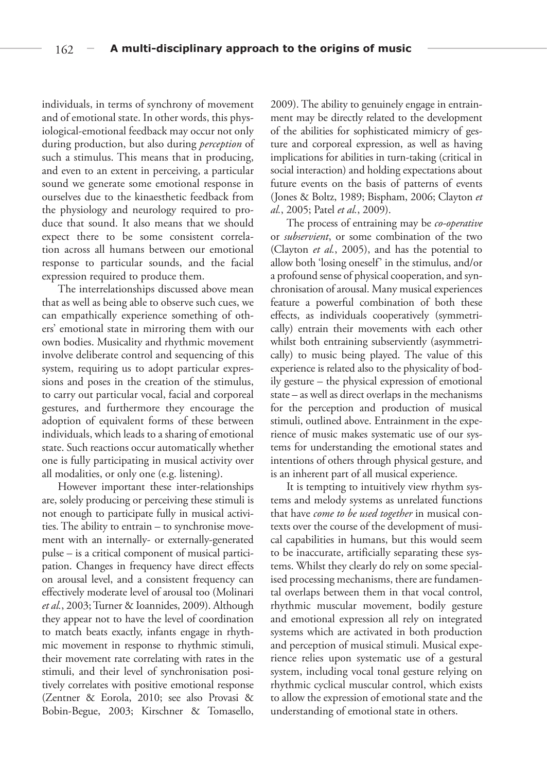individuals, in terms of synchrony of movement and of emotional state. In other words, this physiological-emotional feedback may occur not only during production, but also during *perception* of such a stimulus. This means that in producing, and even to an extent in perceiving, a particular sound we generate some emotional response in ourselves due to the kinaesthetic feedback from the physiology and neurology required to produce that sound. It also means that we should expect there to be some consistent correlation across all humans between our emotional response to particular sounds, and the facial expression required to produce them.

The interrelationships discussed above mean that as well as being able to observe such cues, we can empathically experience something of others' emotional state in mirroring them with our own bodies. Musicality and rhythmic movement involve deliberate control and sequencing of this system, requiring us to adopt particular expressions and poses in the creation of the stimulus, to carry out particular vocal, facial and corporeal gestures, and furthermore they encourage the adoption of equivalent forms of these between individuals, which leads to a sharing of emotional state. Such reactions occur automatically whether one is fully participating in musical activity over all modalities, or only one (e.g. listening).

However important these inter-relationships are, solely producing or perceiving these stimuli is not enough to participate fully in musical activities. The ability to entrain – to synchronise movement with an internally- or externally-generated pulse – is a critical component of musical participation. Changes in frequency have direct effects on arousal level, and a consistent frequency can effectively moderate level of arousal too (Molinari *et al.*, 2003; Turner & Ioannides, 2009). Although they appear not to have the level of coordination to match beats exactly, infants engage in rhythmic movement in response to rhythmic stimuli, their movement rate correlating with rates in the stimuli, and their level of synchronisation positively correlates with positive emotional response (Zentner & Eorola, 2010; see also Provasi & Bobin-Begue, 2003; Kirschner & Tomasello,

2009). The ability to genuinely engage in entrainment may be directly related to the development of the abilities for sophisticated mimicry of gesture and corporeal expression, as well as having implications for abilities in turn-taking (critical in social interaction) and holding expectations about future events on the basis of patterns of events (Jones & Boltz, 1989; Bispham, 2006; Clayton *et al.*, 2005; Patel *et al.*, 2009).

The process of entraining may be *co-operative* or *subservient*, or some combination of the two (Clayton *et al.*, 2005), and has the potential to allow both 'losing oneself' in the stimulus, and/or a profound sense of physical cooperation, and synchronisation of arousal. Many musical experiences feature a powerful combination of both these effects, as individuals cooperatively (symmetrically) entrain their movements with each other whilst both entraining subserviently (asymmetrically) to music being played. The value of this experience is related also to the physicality of bodily gesture – the physical expression of emotional state – as well as direct overlaps in the mechanisms for the perception and production of musical stimuli, outlined above. Entrainment in the experience of music makes systematic use of our systems for understanding the emotional states and intentions of others through physical gesture, and is an inherent part of all musical experience.

It is tempting to intuitively view rhythm systems and melody systems as unrelated functions that have *come to be used together* in musical contexts over the course of the development of musical capabilities in humans, but this would seem to be inaccurate, artificially separating these systems. Whilst they clearly do rely on some specialised processing mechanisms, there are fundamental overlaps between them in that vocal control, rhythmic muscular movement, bodily gesture and emotional expression all rely on integrated systems which are activated in both production and perception of musical stimuli. Musical experience relies upon systematic use of a gestural system, including vocal tonal gesture relying on rhythmic cyclical muscular control, which exists to allow the expression of emotional state and the understanding of emotional state in others.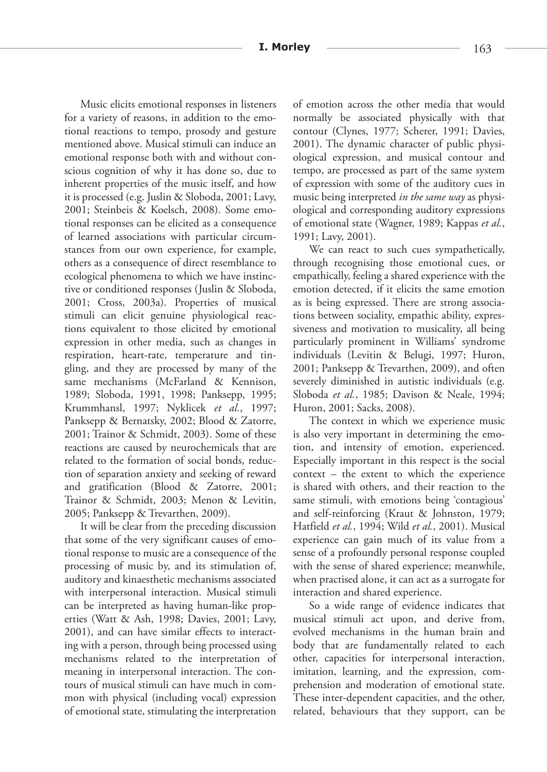Music elicits emotional responses in listeners for a variety of reasons, in addition to the emotional reactions to tempo, prosody and gesture mentioned above. Musical stimuli can induce an emotional response both with and without conscious cognition of why it has done so, due to inherent properties of the music itself, and how it is processed (e.g. Juslin & Sloboda, 2001; Lavy, 2001; Steinbeis & Koelsch, 2008). Some emotional responses can be elicited as a consequence of learned associations with particular circumstances from our own experience, for example, others as a consequence of direct resemblance to ecological phenomena to which we have instinctive or conditioned responses (Juslin & Sloboda, 2001; Cross, 2003a). Properties of musical stimuli can elicit genuine physiological reactions equivalent to those elicited by emotional expression in other media, such as changes in respiration, heart-rate, temperature and tingling, and they are processed by many of the same mechanisms (McFarland & Kennison, 1989; Sloboda, 1991, 1998; Panksepp, 1995; Krummhansl, 1997; Nyklicek *et al.*, 1997; Panksepp & Bernatsky, 2002; Blood & Zatorre, 2001; Trainor & Schmidt, 2003). Some of these reactions are caused by neurochemicals that are related to the formation of social bonds, reduction of separation anxiety and seeking of reward and gratification (Blood & Zatorre, 2001; Trainor & Schmidt, 2003; Menon & Levitin, 2005; Panksepp & Trevarthen, 2009).

It will be clear from the preceding discussion that some of the very significant causes of emotional response to music are a consequence of the processing of music by, and its stimulation of, auditory and kinaesthetic mechanisms associated with interpersonal interaction. Musical stimuli can be interpreted as having human-like properties (Watt & Ash, 1998; Davies, 2001; Lavy, 2001), and can have similar effects to interacting with a person, through being processed using mechanisms related to the interpretation of meaning in interpersonal interaction. The contours of musical stimuli can have much in common with physical (including vocal) expression of emotional state, stimulating the interpretation of emotion across the other media that would normally be associated physically with that contour (Clynes, 1977; Scherer, 1991; Davies, 2001). The dynamic character of public physiological expression, and musical contour and tempo, are processed as part of the same system of expression with some of the auditory cues in music being interpreted *in the same way* as physiological and corresponding auditory expressions of emotional state (Wagner, 1989; Kappas *et al.*, 1991; Lavy, 2001).

We can react to such cues sympathetically, through recognising those emotional cues, or empathically, feeling a shared experience with the emotion detected, if it elicits the same emotion as is being expressed. There are strong associations between sociality, empathic ability, expressiveness and motivation to musicality, all being particularly prominent in Williams' syndrome individuals (Levitin & Belugi, 1997; Huron, 2001; Panksepp & Trevarthen, 2009), and often severely diminished in autistic individuals (e.g. Sloboda *et al.*, 1985; Davison & Neale, 1994; Huron, 2001; Sacks, 2008).

The context in which we experience music is also very important in determining the emotion, and intensity of emotion, experienced. Especially important in this respect is the social context – the extent to which the experience is shared with others, and their reaction to the same stimuli, with emotions being 'contagious' and self-reinforcing (Kraut & Johnston, 1979; Hatfield *et al.*, 1994; Wild *et al.*, 2001). Musical experience can gain much of its value from a sense of a profoundly personal response coupled with the sense of shared experience; meanwhile, when practised alone, it can act as a surrogate for interaction and shared experience.

So a wide range of evidence indicates that musical stimuli act upon, and derive from, evolved mechanisms in the human brain and body that are fundamentally related to each other, capacities for interpersonal interaction, imitation, learning, and the expression, comprehension and moderation of emotional state. These inter-dependent capacities, and the other, related, behaviours that they support, can be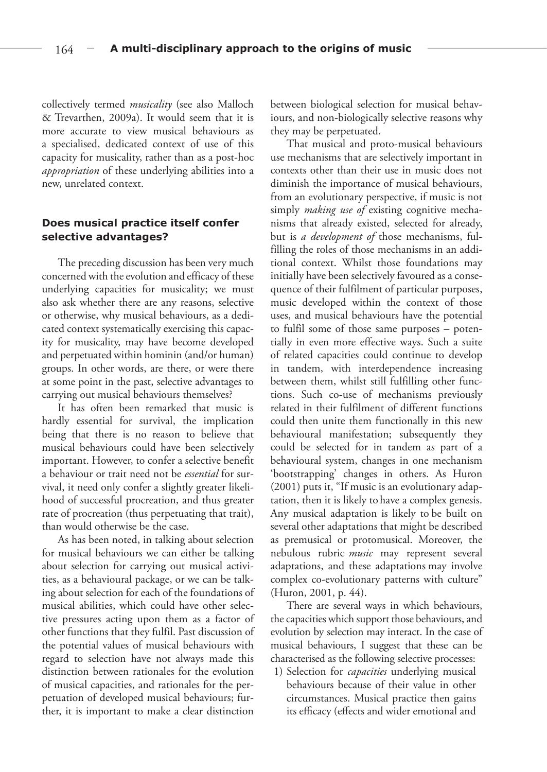collectively termed *musicality* (see also Malloch & Trevarthen, 2009a). It would seem that it is more accurate to view musical behaviours as a specialised, dedicated context of use of this capacity for musicality, rather than as a post-hoc *appropriation* of these underlying abilities into a new, unrelated context.

#### **Does musical practice itself confer selective advantages?**

The preceding discussion has been very much concerned with the evolution and efficacy of these underlying capacities for musicality; we must also ask whether there are any reasons, selective or otherwise, why musical behaviours, as a dedicated context systematically exercising this capacity for musicality, may have become developed and perpetuated within hominin (and/or human) groups. In other words, are there, or were there at some point in the past, selective advantages to carrying out musical behaviours themselves?

It has often been remarked that music is hardly essential for survival, the implication being that there is no reason to believe that musical behaviours could have been selectively important. However, to confer a selective benefit a behaviour or trait need not be *essential* for survival, it need only confer a slightly greater likelihood of successful procreation, and thus greater rate of procreation (thus perpetuating that trait), than would otherwise be the case.

As has been noted, in talking about selection for musical behaviours we can either be talking about selection for carrying out musical activities, as a behavioural package, or we can be talking about selection for each of the foundations of musical abilities, which could have other selective pressures acting upon them as a factor of other functions that they fulfil. Past discussion of the potential values of musical behaviours with regard to selection have not always made this distinction between rationales for the evolution of musical capacities, and rationales for the perpetuation of developed musical behaviours; further, it is important to make a clear distinction between biological selection for musical behaviours, and non-biologically selective reasons why they may be perpetuated.

That musical and proto-musical behaviours use mechanisms that are selectively important in contexts other than their use in music does not diminish the importance of musical behaviours, from an evolutionary perspective, if music is not simply *making use of* existing cognitive mechanisms that already existed, selected for already, but is *a development of* those mechanisms, fulfilling the roles of those mechanisms in an additional context. Whilst those foundations may initially have been selectively favoured as a consequence of their fulfilment of particular purposes, music developed within the context of those uses, and musical behaviours have the potential to fulfil some of those same purposes – potentially in even more effective ways. Such a suite of related capacities could continue to develop in tandem, with interdependence increasing between them, whilst still fulfilling other functions. Such co-use of mechanisms previously related in their fulfilment of different functions could then unite them functionally in this new behavioural manifestation; subsequently they could be selected for in tandem as part of a behavioural system, changes in one mechanism 'bootstrapping' changes in others. As Huron (2001) puts it, "If music is an evolutionary adaptation, then it is likely to have a complex genesis. Any musical adaptation is likely to be built on several other adaptations that might be described as premusical or protomusical. Moreover, the nebulous rubric *music* may represent several adaptations, and these adaptations may involve complex co-evolutionary patterns with culture" (Huron, 2001, p. 44).

There are several ways in which behaviours, the capacities which support those behaviours, and evolution by selection may interact. In the case of musical behaviours, I suggest that these can be characterised as the following selective processes: 1) Selection for *capacities* underlying musical

behaviours because of their value in other circumstances. Musical practice then gains its efficacy (effects and wider emotional and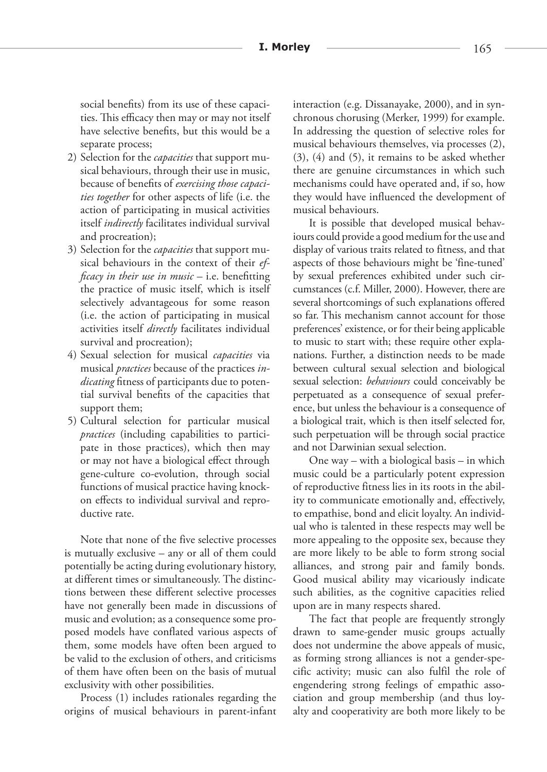social benefits) from its use of these capacities. This efficacy then may or may not itself have selective benefits, but this would be a separate process;

- 2) Selection for the *capacities* that support musical behaviours, through their use in music, because of benefits of *exercising those capacities together* for other aspects of life (i.e. the action of participating in musical activities itself *indirectly* facilitates individual survival and procreation);
- 3) Selection for the *capacities* that support musical behaviours in the context of their *efficacy in their use in music* – i.e. benefitting the practice of music itself, which is itself selectively advantageous for some reason (i.e. the action of participating in musical activities itself *directly* facilitates individual survival and procreation);
- 4) Sexual selection for musical *capacities* via musical *practices* because of the practices *indicating* fitness of participants due to potential survival benefits of the capacities that support them;
- 5) Cultural selection for particular musical *practices* (including capabilities to participate in those practices), which then may or may not have a biological effect through gene-culture co-evolution, through social functions of musical practice having knockon effects to individual survival and reproductive rate.

Note that none of the five selective processes is mutually exclusive – any or all of them could potentially be acting during evolutionary history, at different times or simultaneously. The distinctions between these different selective processes have not generally been made in discussions of music and evolution; as a consequence some proposed models have conflated various aspects of them, some models have often been argued to be valid to the exclusion of others, and criticisms of them have often been on the basis of mutual exclusivity with other possibilities.

Process (1) includes rationales regarding the origins of musical behaviours in parent-infant interaction (e.g. Dissanayake, 2000), and in synchronous chorusing (Merker, 1999) for example. In addressing the question of selective roles for musical behaviours themselves, via processes (2), (3), (4) and (5), it remains to be asked whether there are genuine circumstances in which such mechanisms could have operated and, if so, how they would have influenced the development of musical behaviours.

It is possible that developed musical behaviours could provide a good medium for the use and display of various traits related to fitness, and that aspects of those behaviours might be 'fine-tuned' by sexual preferences exhibited under such circumstances (c.f. Miller, 2000). However, there are several shortcomings of such explanations offered so far. This mechanism cannot account for those preferences' existence, or for their being applicable to music to start with; these require other explanations. Further, a distinction needs to be made between cultural sexual selection and biological sexual selection: *behaviours* could conceivably be perpetuated as a consequence of sexual preference, but unless the behaviour is a consequence of a biological trait, which is then itself selected for, such perpetuation will be through social practice and not Darwinian sexual selection.

One way – with a biological basis – in which music could be a particularly potent expression of reproductive fitness lies in its roots in the ability to communicate emotionally and, effectively, to empathise, bond and elicit loyalty. An individual who is talented in these respects may well be more appealing to the opposite sex, because they are more likely to be able to form strong social alliances, and strong pair and family bonds. Good musical ability may vicariously indicate such abilities, as the cognitive capacities relied upon are in many respects shared.

The fact that people are frequently strongly drawn to same-gender music groups actually does not undermine the above appeals of music, as forming strong alliances is not a gender-specific activity; music can also fulfil the role of engendering strong feelings of empathic association and group membership (and thus loyalty and cooperativity are both more likely to be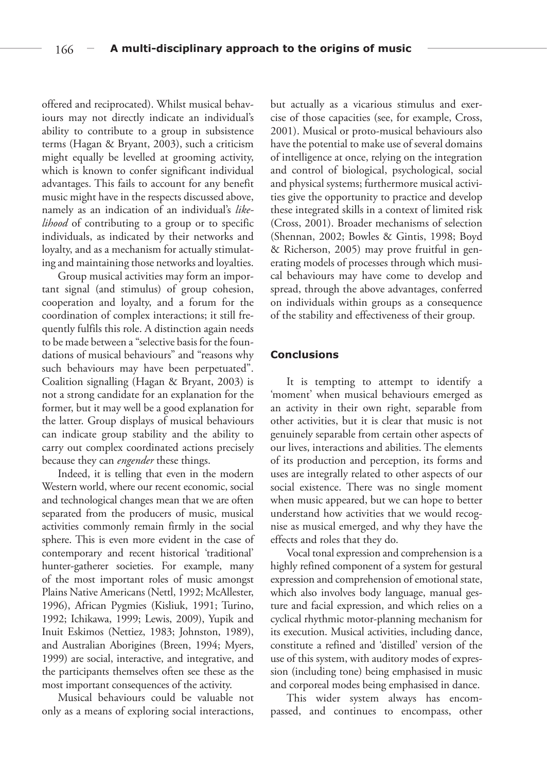offered and reciprocated). Whilst musical behaviours may not directly indicate an individual's ability to contribute to a group in subsistence terms (Hagan & Bryant, 2003), such a criticism might equally be levelled at grooming activity, which is known to confer significant individual advantages. This fails to account for any benefit music might have in the respects discussed above, namely as an indication of an individual's *likelihood* of contributing to a group or to specific individuals, as indicated by their networks and loyalty, and as a mechanism for actually stimulating and maintaining those networks and loyalties.

Group musical activities may form an important signal (and stimulus) of group cohesion, cooperation and loyalty, and a forum for the coordination of complex interactions; it still frequently fulfils this role. A distinction again needs to be made between a "selective basis for the foundations of musical behaviours" and "reasons why such behaviours may have been perpetuated". Coalition signalling (Hagan & Bryant, 2003) is not a strong candidate for an explanation for the former, but it may well be a good explanation for the latter. Group displays of musical behaviours can indicate group stability and the ability to carry out complex coordinated actions precisely because they can *engender* these things.

Indeed, it is telling that even in the modern Western world, where our recent economic, social and technological changes mean that we are often separated from the producers of music, musical activities commonly remain firmly in the social sphere. This is even more evident in the case of contemporary and recent historical 'traditional' hunter-gatherer societies. For example, many of the most important roles of music amongst Plains Native Americans (Nettl, 1992; McAllester, 1996), African Pygmies (Kisliuk, 1991; Turino, 1992; Ichikawa, 1999; Lewis, 2009), Yupik and Inuit Eskimos (Nettiez, 1983; Johnston, 1989), and Australian Aborigines (Breen, 1994; Myers, 1999) are social, interactive, and integrative, and the participants themselves often see these as the most important consequences of the activity.

Musical behaviours could be valuable not only as a means of exploring social interactions,

but actually as a vicarious stimulus and exercise of those capacities (see, for example, Cross, 2001). Musical or proto-musical behaviours also have the potential to make use of several domains of intelligence at once, relying on the integration and control of biological, psychological, social and physical systems; furthermore musical activities give the opportunity to practice and develop these integrated skills in a context of limited risk (Cross, 2001). Broader mechanisms of selection (Shennan, 2002; Bowles & Gintis, 1998; Boyd & Richerson, 2005) may prove fruitful in generating models of processes through which musical behaviours may have come to develop and spread, through the above advantages, conferred on individuals within groups as a consequence of the stability and effectiveness of their group.

#### **Conclusions**

It is tempting to attempt to identify a 'moment' when musical behaviours emerged as an activity in their own right, separable from other activities, but it is clear that music is not genuinely separable from certain other aspects of our lives, interactions and abilities. The elements of its production and perception, its forms and uses are integrally related to other aspects of our social existence. There was no single moment when music appeared, but we can hope to better understand how activities that we would recognise as musical emerged, and why they have the effects and roles that they do.

Vocal tonal expression and comprehension is a highly refined component of a system for gestural expression and comprehension of emotional state, which also involves body language, manual gesture and facial expression, and which relies on a cyclical rhythmic motor-planning mechanism for its execution. Musical activities, including dance, constitute a refined and 'distilled' version of the use of this system, with auditory modes of expression (including tone) being emphasised in music and corporeal modes being emphasised in dance.

This wider system always has encompassed, and continues to encompass, other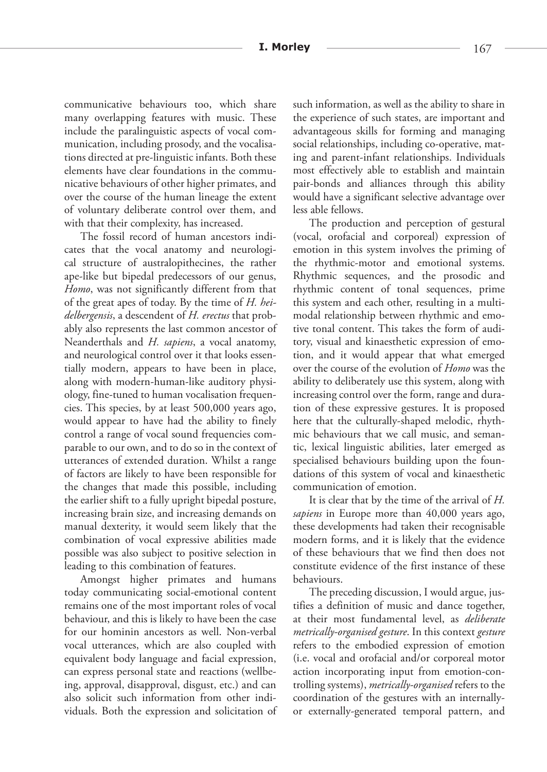communicative behaviours too, which share many overlapping features with music. These include the paralinguistic aspects of vocal communication, including prosody, and the vocalisations directed at pre-linguistic infants. Both these elements have clear foundations in the communicative behaviours of other higher primates, and over the course of the human lineage the extent of voluntary deliberate control over them, and with that their complexity, has increased.

The fossil record of human ancestors indicates that the vocal anatomy and neurological structure of australopithecines, the rather ape-like but bipedal predecessors of our genus, *Homo*, was not significantly different from that of the great apes of today. By the time of *H. heidelbergensis*, a descendent of *H. erectus* that probably also represents the last common ancestor of Neanderthals and *H. sapiens*, a vocal anatomy, and neurological control over it that looks essentially modern, appears to have been in place, along with modern-human-like auditory physiology, fine-tuned to human vocalisation frequencies. This species, by at least 500,000 years ago, would appear to have had the ability to finely control a range of vocal sound frequencies comparable to our own, and to do so in the context of utterances of extended duration. Whilst a range of factors are likely to have been responsible for the changes that made this possible, including the earlier shift to a fully upright bipedal posture, increasing brain size, and increasing demands on manual dexterity, it would seem likely that the combination of vocal expressive abilities made possible was also subject to positive selection in leading to this combination of features.

Amongst higher primates and humans today communicating social-emotional content remains one of the most important roles of vocal behaviour, and this is likely to have been the case for our hominin ancestors as well. Non-verbal vocal utterances, which are also coupled with equivalent body language and facial expression, can express personal state and reactions (wellbeing, approval, disapproval, disgust, etc.) and can also solicit such information from other individuals. Both the expression and solicitation of such information, as well as the ability to share in the experience of such states, are important and advantageous skills for forming and managing social relationships, including co-operative, mating and parent-infant relationships. Individuals most effectively able to establish and maintain pair-bonds and alliances through this ability would have a significant selective advantage over less able fellows.

The production and perception of gestural (vocal, orofacial and corporeal) expression of emotion in this system involves the priming of the rhythmic-motor and emotional systems. Rhythmic sequences, and the prosodic and rhythmic content of tonal sequences, prime this system and each other, resulting in a multimodal relationship between rhythmic and emotive tonal content. This takes the form of auditory, visual and kinaesthetic expression of emotion, and it would appear that what emerged over the course of the evolution of *Homo* was the ability to deliberately use this system, along with increasing control over the form, range and duration of these expressive gestures. It is proposed here that the culturally-shaped melodic, rhythmic behaviours that we call music, and semantic, lexical linguistic abilities, later emerged as specialised behaviours building upon the foundations of this system of vocal and kinaesthetic communication of emotion.

It is clear that by the time of the arrival of *H. sapiens* in Europe more than 40,000 years ago, these developments had taken their recognisable modern forms, and it is likely that the evidence of these behaviours that we find then does not constitute evidence of the first instance of these behaviours.

The preceding discussion, I would argue, justifies a definition of music and dance together, at their most fundamental level, as *deliberate metrically-organised gesture*. In this context *gesture* refers to the embodied expression of emotion (i.e. vocal and orofacial and/or corporeal motor action incorporating input from emotion-controlling systems), *metrically-organised* refers to the coordination of the gestures with an internallyor externally-generated temporal pattern, and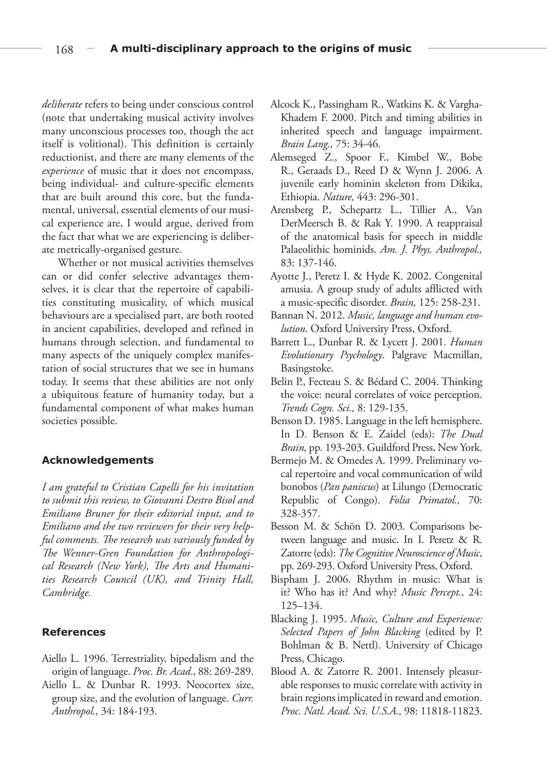*deliberate* refers to being under conscious control (note that undertaking musical activity involves many unconscious processes too, though the act itself is volitional). This definition is certainly reductionist, and there are many elements of the *experience* of music that it does not encompass, being individual- and culture-specific elements that are built around this core, but the fundamental, universal, essential elements of our musical experience are, I would argue, derived from the fact that what we are experiencing is deliberate metrically-organised gesture.

Whether or not musical activities themselves can or did confer selective advantages themselves, it is clear that the repertoire of capabilities constituting musicality, of which musical behaviours are a specialised part, are both rooted in ancient capabilities, developed and refined in humans through selection, and fundamental to many aspects of the uniquely complex manifestation of social structures that we see in humans today. It seems that these abilities are not only a ubiquitous feature of humanity today, but a fundamental component of what makes human societies possible.

#### **Acknowledgements**

*I am grateful to Cristian Capelli for his invitation to submit this review, to Giovanni Destro Bisol and Emiliano Bruner for their editorial input, and to Emiliano and the two reviewers for their very helpful comments. The research was variously funded by The Wenner-Gren Foundation for Anthropological Research (New York), The Arts and Humanities Research Council (UK), and Trinity Hall, Cambridge.*

#### **References**

- Aiello L. 1996. Terrestriality, bipedalism and the origin of language. *Proc. Br. Acad*., 88: 269-289.
- Aiello L. & Dunbar R. 1993. Neocortex size, group size, and the evolution of language. *Curr. Anthropol.,* 34: 184-193.
- Alcock K., Passingham R., Watkins K. & Vargha-Khadem F. 2000. Pitch and timing abilities in inherited speech and language impairment. *Brain Lang.,* 75: 34-46.
- Alemseged Z., Spoor F., Kimbel W., Bobe R., Geraads D., Reed D & Wynn J. 2006. A juvenile early hominin skeleton from Dikika, Ethiopia. *Nature,* 443: 296-301.
- Arensberg P., Schepartz L., Tillier A., Van DerMeersch B. & Rak Y. 1990. A reappraisal of the anatomical basis for speech in middle Palaeolithic hominids. *Am. J. Phys. Anthropol.,* 83: 137-146.
- Ayotte J., Peretz I. & Hyde K. 2002. Congenital amusia. A group study of adults afflicted with a music-specific disorder. *Brain,* 125: 258-231.
- Bannan N. 2012. *Music, language and human evolution*. Oxford University Press, Oxford.
- Barrett L., Dunbar R. & Lycett J. 2001. *Human Evolutionary Psychology*. Palgrave Macmillan, Basingstoke.
- Belin P., Fecteau S. & Bédard C. 2004. Thinking the voice: neural correlates of voice perception. *Trends Cogn. Sci.,* 8: 129-135.
- Benson D. 1985. Language in the left hemisphere. In D. Benson & E. Zaidel (eds): *The Dual Brain,* pp*.* 193-203. Guildford Press, New York.
- Bermejo M. & Omedes A. 1999. Preliminary vocal repertoire and vocal communication of wild bonobos (*Pan paniscus*) at Lilungo (Democratic Republic of Congo). *Folia Primatol.,* 70: 328-357.
- Besson M. & Schön D. 2003. Comparisons between language and music. In I. Peretz & R. Zatorre (eds): *The Cognitive Neuroscience of Music*, pp. 269-293. Oxford University Press, Oxford.
- Bispham J. 2006. Rhythm in music: What is it? Who has it? And why? *Music Percept.,* 24: 125–134.
- Blacking J. 1995. *Music, Culture and Experience: Selected Papers of John Blacking* (edited by P. Bohlman & B. Nettl). University of Chicago Press, Chicago.
- Blood A. & Zatorre R. 2001. Intensely pleasurable responses to music correlate with activity in brain regions implicated in reward and emotion. *Proc. Natl. Acad. Sci. U.S.A.,* 98: 11818-11823.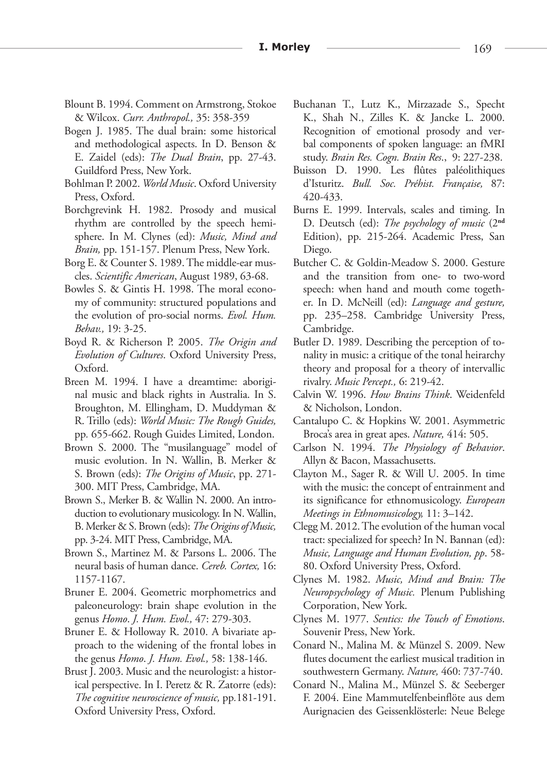- Blount B. 1994. Comment on Armstrong, Stokoe & Wilcox. *Curr. Anthropol.,* 35: 358-359
- Bogen J. 1985. The dual brain: some historical and methodological aspects. In D. Benson & E. Zaidel (eds): *The Dual Brain*, pp. 27-43. Guildford Press, New York.
- Bohlman P. 2002. *World Music*. Oxford University Press, Oxford.
- Borchgrevink H. 1982. Prosody and musical rhythm are controlled by the speech hemisphere. In M. Clynes (ed): *Music, Mind and Brain,* pp. 151-157. Plenum Press, New York.
- Borg E. & Counter S. 1989. The middle-ear muscles. *Scientific American*, August 1989, 63-68.
- Bowles S. & Gintis H. 1998. The moral economy of community: structured populations and the evolution of pro-social norms. *Evol. Hum. Behav.,* 19: 3-25.
- Boyd R. & Richerson P. 2005. *The Origin and Evolution of Cultures*. Oxford University Press, Oxford.
- Breen M. 1994. I have a dreamtime: aboriginal music and black rights in Australia. In S. Broughton, M. Ellingham, D. Muddyman & R. Trillo (eds): *World Music: The Rough Guides,*  pp*.* 655-662. Rough Guides Limited, London.
- Brown S. 2000. The "musilanguage" model of music evolution. In N. Wallin, B. Merker & S. Brown (eds): *The Origins of Music*, pp. 271- 300. MIT Press, Cambridge, MA.
- Brown S., Merker B. & Wallin N. 2000. An introduction to evolutionary musicology. In N. Wallin, B. Merker & S. Brown (eds): *The Origins of Music,* pp. 3-24. MIT Press, Cambridge, MA.
- Brown S., Martinez M. & Parsons L. 2006. The neural basis of human dance. *Cereb. Cortex,* 16: 1157-1167.
- Bruner E. 2004. Geometric morphometrics and paleoneurology: brain shape evolution in the genus *Homo*. *J. Hum. Evol.,* 47: 279-303.
- Bruner E. & Holloway R. 2010. A bivariate approach to the widening of the frontal lobes in the genus *Homo*. *J. Hum. Evol.,* 58: 138-146.
- Brust J. 2003. Music and the neurologist: a historical perspective. In I. Peretz & R. Zatorre (eds): *The cognitive neuroscience of music,* pp*.*181-191. Oxford University Press, Oxford.
- Buchanan T., Lutz K., Mirzazade S., Specht K., Shah N., Zilles K. & Jancke L. 2000. Recognition of emotional prosody and verbal components of spoken language: an fMRI study. *Brain Res. Cogn. Brain Res*., 9: 227-238.
- Buisson D. 1990. Les flûtes paléolithiques d'Isturitz. *Bull. Soc. Préhist. Française,* 87: 420-433.
- Burns E. 1999. Intervals, scales and timing. In D. Deutsch (ed): *The psychology of music* (2**nd** Edition), pp. 215-264. Academic Press, San Diego.
- Butcher C. & Goldin-Meadow S. 2000. Gesture and the transition from one- to two-word speech: when hand and mouth come together. In D. McNeill (ed): *Language and gesture,*  pp. 235–258. Cambridge University Press, Cambridge.
- Butler D. 1989. Describing the perception of tonality in music: a critique of the tonal heirarchy theory and proposal for a theory of intervallic rivalry. *Music Percept.,* 6: 219-42.
- Calvin W. 1996. *How Brains Think*. Weidenfeld & Nicholson, London.
- Cantalupo C. & Hopkins W. 2001. Asymmetric Broca's area in great apes. *Nature,* 414: 505.
- Carlson N. 1994. *The Physiology of Behavior*. Allyn & Bacon, Massachusetts.
- Clayton M., Sager R. & Will U. 2005. In time with the music: the concept of entrainment and its significance for ethnomusicology. *European Meetings in Ethnomusicology,* 11: 3–142.
- Clegg M. 2012. The evolution of the human vocal tract: specialized for speech? In N. Bannan (ed): *Music, Language and Human Evolution, pp*. 58- 80. Oxford University Press, Oxford.
- Clynes M. 1982. *Music, Mind and Brain: The Neuropsychology of Music.* Plenum Publishing Corporation, New York.
- Clynes M. 1977. *Sentics: the Touch of Emotions*. Souvenir Press, New York.
- Conard N., Malina M. & Münzel S. 2009. New flutes document the earliest musical tradition in southwestern Germany. *Nature,* 460: 737-740.
- Conard N., Malina M., Münzel S. & Seeberger F. 2004. Eine Mammutelfenbeinflöte aus dem Aurignacien des Geissenklösterle: Neue Belege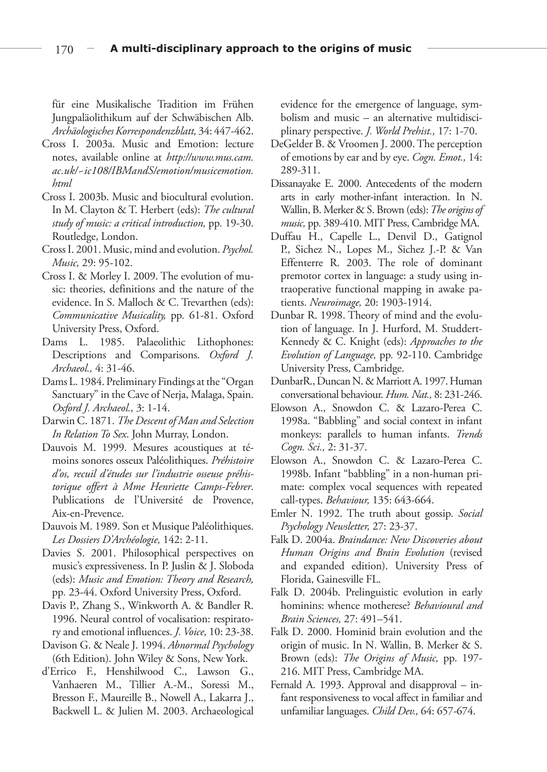für eine Musikalische Tradition im Frühen Jungpaläolithikum auf der Schwäbischen Alb. *Archäologisches Korrespondenzblatt,* 34: 447-462.

- Cross I. 2003a. Music and Emotion: lecture notes, available online at *http://www.mus.cam. ac.uk/~ic108/IBMandS/emotion/musicemotion. html*
- Cross I. 2003b. Music and biocultural evolution. In M. Clayton & T. Herbert (eds): *The cultural study of music: a critical introduction,* pp*.* 19-30. Routledge, London.
- Cross I. 2001. Music, mind and evolution. *Psychol. Music,* 29: 95-102.
- Cross I. & Morley I. 2009. The evolution of music: theories, definitions and the nature of the evidence. In S. Malloch & C. Trevarthen (eds): *Communicative Musicality,* pp*.* 61-81. Oxford University Press, Oxford.
- Dams L. 1985. Palaeolithic Lithophones: Descriptions and Comparisons. *Oxford J. Archaeol.,* 4: 31-46.
- Dams L. 1984. Preliminary Findings at the "Organ Sanctuary" in the Cave of Nerja, Malaga, Spain. *Oxford J. Archaeol.,* 3: 1-14.
- Darwin C. 1871. *The Descent of Man and Selection In Relation To Sex*. John Murray, London.
- Dauvois M. 1999. Mesures acoustiques at témoins sonores osseux Paléolithiques. *Préhistoire d'os, recuil d'études sur l'industrie osseuse préhistorique offert à Mme Henriette Camps-Febrer*. Publications de l'Université de Provence, Aix-en-Prevence.
- Dauvois M. 1989. Son et Musique Paléolithiques. *Les Dossiers D'Archéologie,* 142: 2-11.
- Davies S. 2001. Philosophical perspectives on music's expressiveness. In P. Juslin & J. Sloboda (eds): *Music and Emotion: Theory and Research,*  pp*.* 23-44. Oxford University Press, Oxford.
- Davis P., Zhang S., Winkworth A. & Bandler R. 1996. Neural control of vocalisation: respiratory and emotional influences. *J. Voice,* 10: 23-38.
- Davison G. & Neale J. 1994. *Abnormal Psychology*  (6th Edition). John Wiley & Sons, New York.
- d'Errico F., Henshilwood C., Lawson G., Vanhaeren M., Tillier A.-M., Soressi M., Bresson F., Maureille B., Nowell A., Lakarra J., Backwell L. & Julien M. 2003. Archaeological

evidence for the emergence of language, symbolism and music – an alternative multidisciplinary perspective. *J. World Prehist.,* 17: 1-70.

- DeGelder B. & Vroomen J. 2000. The perception of emotions by ear and by eye. *Cogn. Emot.,* 14: 289-311.
- Dissanayake E. 2000. Antecedents of the modern arts in early mother-infant interaction. In N. Wallin, B. Merker & S. Brown (eds): *The origins of music,* pp*.* 389-410. MIT Press, Cambridge MA.
- Duffau H., Capelle L., Denvil D., Gatignol P., Sichez N., Lopes M., Sichez J.-P. & Van Effenterre R. 2003. The role of dominant premotor cortex in language: a study using intraoperative functional mapping in awake patients. *Neuroimage,* 20: 1903-1914.
- Dunbar R. 1998. Theory of mind and the evolution of language. In J. Hurford, M. Studdert-Kennedy & C. Knight (eds): *Approaches to the Evolution of Language,* pp*.* 92-110. Cambridge University Press, Cambridge.
- DunbarR., Duncan N. & Marriott A. 1997. Human conversational behaviour. *Hum. Nat.,* 8: 231-246.
- Elowson A., Snowdon C. & Lazaro-Perea C. 1998a. "Babbling" and social context in infant monkeys: parallels to human infants. *Trends Cogn. Sci.,* 2: 31-37.
- Elowson A., Snowdon C. & Lazaro-Perea C. 1998b. Infant "babbling" in a non-human primate: complex vocal sequences with repeated call-types. *Behaviour,* 135: 643-664.
- Emler N. 1992. The truth about gossip. *Social Psychology Newsletter,* 27: 23-37.
- Falk D. 2004a. *Braindance: New Discoveries about Human Origins and Brain Evolution* (revised and expanded edition). University Press of Florida, Gainesville FL.
- Falk D. 2004b. Prelinguistic evolution in early hominins: whence motherese? *Behavioural and Brain Sciences,* 27: 491–541.
- Falk D. 2000. Hominid brain evolution and the origin of music. In N. Wallin, B. Merker & S. Brown (eds): *The Origins of Music,* pp. 197- 216. MIT Press, Cambridge MA.
- Fernald A. 1993. Approval and disapproval infant responsiveness to vocal affect in familiar and unfamiliar languages. *Child Dev.,* 64: 657-674.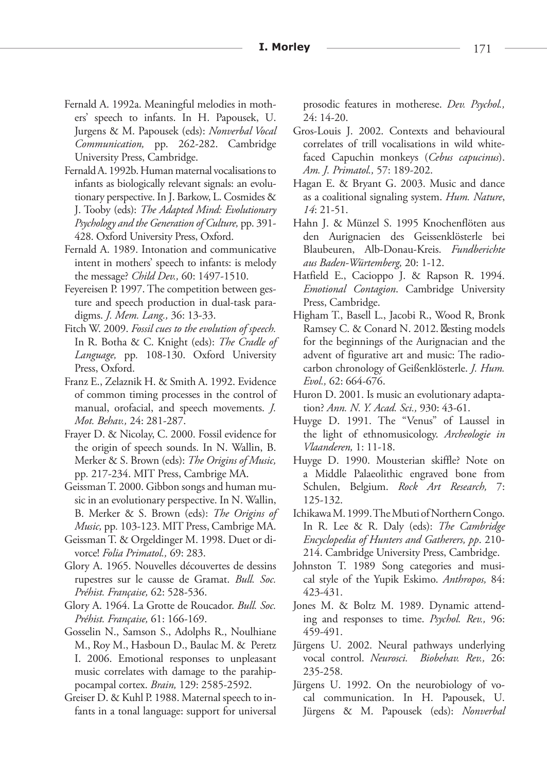- Fernald A. 1992a. Meaningful melodies in mothers' speech to infants. In H. Papousek, U. Jurgens & M. Papousek (eds): *Nonverbal Vocal Communication,* pp. 262-282. Cambridge University Press, Cambridge.
- Fernald A. 1992b. Human maternal vocalisations to infants as biologically relevant signals: an evolutionary perspective. In J. Barkow, L. Cosmides & J. Tooby (eds): *The Adapted Mind: Evolutionary Psychology and the Generation of Culture,* pp. 391- 428. Oxford University Press, Oxford.
- Fernald A. 1989. Intonation and communicative intent in mothers' speech to infants: is melody the message? *Child Dev.,* 60: 1497-1510.
- Feyereisen P. 1997. The competition between gesture and speech production in dual-task paradigms. *J. Mem. Lang.,* 36: 13-33.
- Fitch W. 2009. *Fossil cues to the evolution of speech.* In R. Botha & C. Knight (eds): *The Cradle of Language,* pp*.* 108-130. Oxford University Press, Oxford.
- Franz E., Zelaznik H. & Smith A. 1992. Evidence of common timing processes in the control of manual, orofacial, and speech movements. *J. Mot. Behav.,* 24: 281-287.
- Frayer D. & Nicolay, C. 2000. Fossil evidence for the origin of speech sounds. In N. Wallin, B. Merker & S. Brown (eds): *The Origins of Music,*  pp*.* 217-234. MIT Press, Cambrige MA.
- Geissman T. 2000. Gibbon songs and human music in an evolutionary perspective. In N. Wallin, B. Merker & S. Brown (eds): *The Origins of Music,* pp*.* 103-123. MIT Press, Cambrige MA.
- Geissman T. & Orgeldinger M. 1998. Duet or divorce! *Folia Primatol.,* 69: 283.
- Glory A. 1965. Nouvelles découvertes de dessins rupestres sur le causse de Gramat. *Bull. Soc. Préhist. Française,* 62: 528-536.
- Glory A. 1964. La Grotte de Roucador. *Bull. Soc. Préhist. Française,* 61: 166-169.
- Gosselin N., Samson S., Adolphs R., Noulhiane M., Roy M., Hasboun D., Baulac M. & Peretz I. 2006. Emotional responses to unpleasant music correlates with damage to the parahippocampal cortex. *Brain,* 129: 2585-2592.
- Greiser D. & Kuhl P. 1988. Maternal speech to infants in a tonal language: support for universal

prosodic features in motherese. *Dev. Psychol.,*  24: 14-20.

- Gros-Louis J. 2002. Contexts and behavioural correlates of trill vocalisations in wild whitefaced Capuchin monkeys (*Cebus capucinus*). *Am. J. Primatol.,* 57: 189-202.
- Hagan E. & Bryant G. 2003. Music and dance as a coalitional signaling system. *Hum. Nature*, *14*: 21-51.
- Hahn J. & Münzel S. 1995 Knochenflöten aus den Aurignacien des Geissenklösterle bei Blaubeuren, Alb-Donau-Kreis. *Fundberichte aus Baden-Würtemberg,* 20: 1-12.
- Hatfield E., Cacioppo J. & Rapson R. 1994. *Emotional Contagion*. Cambridge University Press, Cambridge.
- Higham T., Basell L., Jacobi R., Wood R, Bronk Ramsey C. & Conard N. 2012. esting models for the beginnings of the Aurignacian and the advent of figurative art and music: The radiocarbon chronology of Geißenklösterle. *J. Hum. Evol.,* 62: 664-676.
- Huron D. 2001. Is music an evolutionary adaptation? *Ann. N. Y. Acad. Sci.,* 930: 43-61.
- Huyge D. 1991. The "Venus" of Laussel in the light of ethnomusicology. *Archeologie in Vlaanderen,* 1: 11-18.
- Huyge D. 1990. Mousterian skiffle? Note on a Middle Palaeolithic engraved bone from Schulen, Belgium. *Rock Art Research,* 7: 125-132.
- Ichikawa M. 1999. The Mbuti of Northern Congo. In R. Lee & R. Daly (eds): *The Cambridge Encyclopedia of Hunters and Gatherers, pp*. 210- 214. Cambridge University Press, Cambridge.
- Johnston T. 1989 Song categories and musical style of the Yupik Eskimo. *Anthropos,* 84: 423-431.
- Jones M. & Boltz M. 1989. Dynamic attending and responses to time. *Psychol. Rev.,* 96: 459-491.
- Jürgens U. 2002. Neural pathways underlying vocal control. *Neurosci. Biobehav. Rev.,* 26: 235-258.
- Jürgens U. 1992. On the neurobiology of vocal communication. In H. Papousek, U. Jürgens & M. Papousek (eds): *Nonverbal*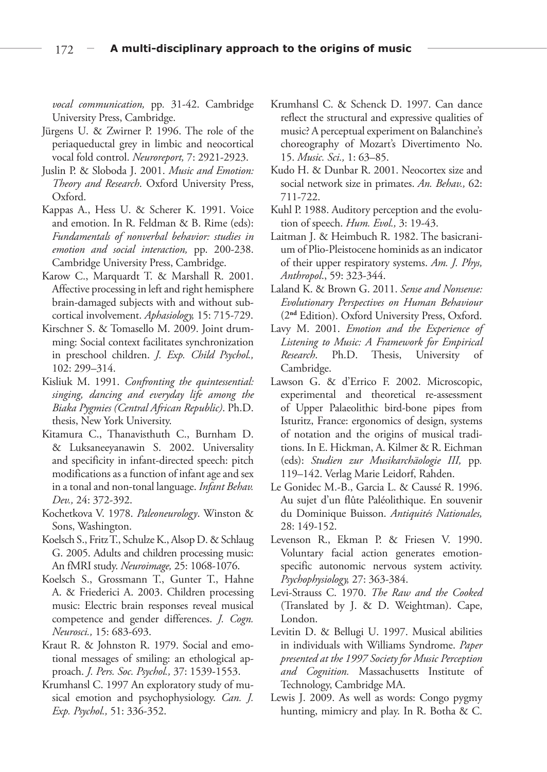*vocal communication,* pp*.* 31-42. Cambridge University Press, Cambridge.

- Jürgens U. & Zwirner P. 1996. The role of the periaqueductal grey in limbic and neocortical vocal fold control. *Neuroreport,* 7: 2921-2923.
- Juslin P. & Sloboda J. 2001. *Music and Emotion: Theory and Research*. Oxford University Press, Oxford.
- Kappas A., Hess U. & Scherer K. 1991. Voice and emotion. In R. Feldman & B. Rime (eds): *Fundamentals of nonverbal behavior: studies in emotion and social interaction,* pp. 200-238. Cambridge University Press, Cambridge.
- Karow C., Marquardt T. & Marshall R. 2001. Affective processing in left and right hemisphere brain-damaged subjects with and without subcortical involvement. *Aphasiology,* 15: 715-729.
- Kirschner S. & Tomasello M. 2009. Joint drumming: Social context facilitates synchronization in preschool children. *J. Exp. Child Psychol.,*  102: 299–314.
- Kisliuk M. 1991. *Confronting the quintessential: singing, dancing and everyday life among the Biaka Pygmies (Central African Republic)*. Ph.D. thesis, New York University.
- Kitamura C., Thanavisthuth C., Burnham D. & Luksaneeyanawin S. 2002. Universality and specificity in infant-directed speech: pitch modifications as a function of infant age and sex in a tonal and non-tonal language. *Infant Behav. Dev.,* 24: 372-392.
- Kochetkova V. 1978. *Paleoneurology*. Winston & Sons, Washington.
- Koelsch S., Fritz T., Schulze K., Alsop D. & Schlaug G. 2005. Adults and children processing music: An fMRI study. *Neuroimage,* 25: 1068-1076.
- Koelsch S., Grossmann T., Gunter T., Hahne A. & Friederici A. 2003. Children processing music: Electric brain responses reveal musical competence and gender differences. *J. Cogn. Neurosci.,* 15: 683-693.
- Kraut R. & Johnston R. 1979. Social and emotional messages of smiling: an ethological approach. *J. Pers. Soc. Psychol.,* 37: 1539-1553.
- Krumhansl C. 1997 An exploratory study of musical emotion and psychophysiology. *Can. J. Exp. Psychol.,* 51: 336-352.
- Krumhansl C. & Schenck D. 1997. Can dance reflect the structural and expressive qualities of music? A perceptual experiment on Balanchine's choreography of Mozart's Divertimento No. 15. *Music. Sci.,* 1: 63–85.
- Kudo H. & Dunbar R. 2001. Neocortex size and social network size in primates. *An. Behav.,* 62: 711-722.
- Kuhl P. 1988. Auditory perception and the evolution of speech. *Hum. Evol.,* 3: 19-43.
- Laitman J. & Heimbuch R. 1982. The basicranium of Plio-Pleistocene hominids as an indicator of their upper respiratory systems. *Am. J. Phys, Anthropol*., 59: 323-344.
- Laland K. & Brown G. 2011. *Sense and Nonsense: Evolutionary Perspectives on Human Behaviour* (2**nd** Edition). Oxford University Press, Oxford.
- Lavy M. 2001. *Emotion and the Experience of Listening to Music: A Framework for Empirical Research*. Ph.D. Thesis, University of Cambridge.
- Lawson G. & d'Errico F. 2002. Microscopic, experimental and theoretical re-assessment of Upper Palaeolithic bird-bone pipes from Isturitz, France: ergonomics of design, systems of notation and the origins of musical traditions. In E. Hickman, A. Kilmer & R. Eichman (eds): *Studien zur Musikarchäologie III,* pp*.*  119–142. Verlag Marie Leidorf, Rahden.
- Le Gonidec M.-B., Garcia L. & Caussé R. 1996. Au sujet d'un flûte Paléolithique. En souvenir du Dominique Buisson. *Antiquités Nationales,* 28: 149-152.
- Levenson R., Ekman P. & Friesen V. 1990. Voluntary facial action generates emotionspecific autonomic nervous system activity. *Psychophysiology,* 27: 363-384.
- Levi-Strauss C. 1970. *The Raw and the Cooked* (Translated by J. & D. Weightman). Cape, London.
- Levitin D. & Bellugi U. 1997. Musical abilities in individuals with Williams Syndrome. *Paper presented at the 1997 Society for Music Perception and Cognition.* Massachusetts Institute of Technology, Cambridge MA.
- Lewis J. 2009. As well as words: Congo pygmy hunting, mimicry and play. In R. Botha & C.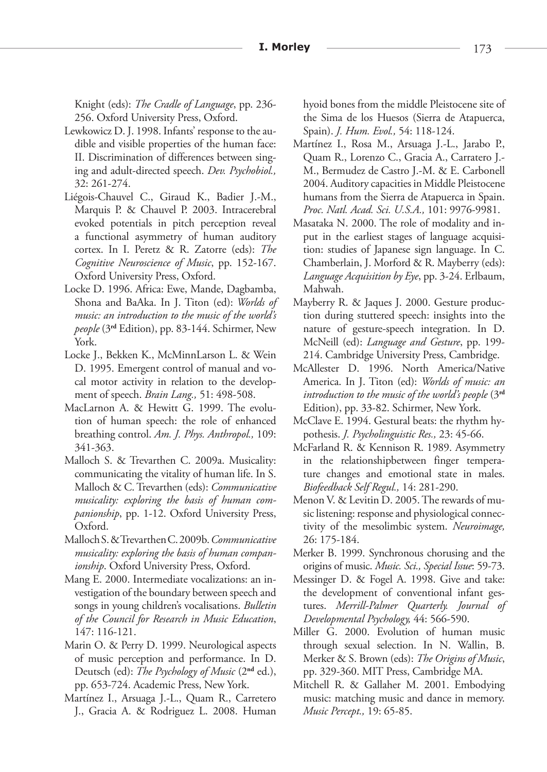Knight (eds): *The Cradle of Language*, pp. 236- 256. Oxford University Press, Oxford.

- Lewkowicz D. J. 1998. Infants' response to the audible and visible properties of the human face: II. Discrimination of differences between singing and adult-directed speech. *Dev. Psychobiol.,* 32: 261-274.
- Liégois-Chauvel C., Giraud K., Badier J.-M., Marquis P. & Chauvel P. 2003. Intracerebral evoked potentials in pitch perception reveal a functional asymmetry of human auditory cortex. In I. Peretz & R. Zatorre (eds): *The Cognitive Neuroscience of Music*, pp. 152-167. Oxford University Press, Oxford.
- Locke D. 1996. Africa: Ewe, Mande, Dagbamba, Shona and BaAka. In J. Titon (ed): *Worlds of music: an introduction to the music of the world's people* (3**rd** Edition), pp. 83-144. Schirmer, New York.
- Locke J., Bekken K., McMinnLarson L. & Wein D. 1995. Emergent control of manual and vocal motor activity in relation to the development of speech. *Brain Lang.,* 51: 498-508.
- MacLarnon A. & Hewitt G. 1999. The evolution of human speech: the role of enhanced breathing control. *Am. J. Phys. Anthropol.,* 109: 341-363.
- Malloch S. & Trevarthen C. 2009a. Musicality: communicating the vitality of human life. In S. Malloch & C. Trevarthen (eds): *Communicative musicality: exploring the basis of human companionship*, pp. 1-12. Oxford University Press, Oxford.
- Malloch S. & Trevarthen C. 2009b. *Communicative musicality: exploring the basis of human companionship*. Oxford University Press, Oxford.
- Mang E. 2000. Intermediate vocalizations: an investigation of the boundary between speech and songs in young children's vocalisations. *Bulletin of the Council for Research in Music Education*, 147: 116-121.
- Marin O. & Perry D. 1999. Neurological aspects of music perception and performance. In D. Deutsch (ed): *The Psychology of Music* (2**nd** ed.), pp. 653-724. Academic Press, New York.
- Martínez I., Arsuaga J.-L., Quam R., Carretero J., Gracia A. & Rodriguez L. 2008. Human

hyoid bones from the middle Pleistocene site of the Sima de los Huesos (Sierra de Atapuerca, Spain). *J. Hum. Evol.,* 54: 118-124.

- Martínez I., Rosa M., Arsuaga J.-L., Jarabo P., Quam R., Lorenzo C., Gracia A., Carratero J.- M., Bermudez de Castro J.-M. & E. Carbonell 2004. Auditory capacities in Middle Pleistocene humans from the Sierra de Atapuerca in Spain. *Proc. Natl. Acad. Sci. U.S.A.,* 101: 9976-9981.
- Masataka N. 2000. The role of modality and input in the earliest stages of language acquisition: studies of Japanese sign language. In C. Chamberlain, J. Morford & R. Mayberry (eds): *Language Acquisition by Eye*, pp. 3-24. Erlbaum, Mahwah.
- Mayberry R. & Jaques J. 2000. Gesture production during stuttered speech: insights into the nature of gesture-speech integration. In D. McNeill (ed): *Language and Gesture*, pp. 199- 214. Cambridge University Press, Cambridge.
- McAllester D. 1996. North America/Native America. In J. Titon (ed): *Worlds of music: an introduction to the music of the world's people* (3**rd** Edition), pp. 33-82. Schirmer, New York.
- McClave E. 1994. Gestural beats: the rhythm hypothesis. *J. Psycholinguistic Res.,* 23: 45-66.
- McFarland R. & Kennison R. 1989. Asymmetry in the relationshipbetween finger temperature changes and emotional state in males. *Biofeedback Self Regul.,* 14: 281-290.
- Menon V. & Levitin D. 2005. The rewards of music listening: response and physiological connectivity of the mesolimbic system. *Neuroimage,*  26: 175-184.
- Merker B. 1999. Synchronous chorusing and the origins of music. *Music. Sci., Special Issue*: 59-73.
- Messinger D. & Fogel A. 1998. Give and take: the development of conventional infant gestures. *Merrill-Palmer Quarterly. Journal of Developmental Psychology,* 44: 566-590.
- Miller G. 2000. Evolution of human music through sexual selection. In N. Wallin, B. Merker & S. Brown (eds): *The Origins of Music*, pp. 329-360. MIT Press, Cambridge MA.
- Mitchell R. & Gallaher M. 2001. Embodying music: matching music and dance in memory. *Music Percept.,* 19: 65-85.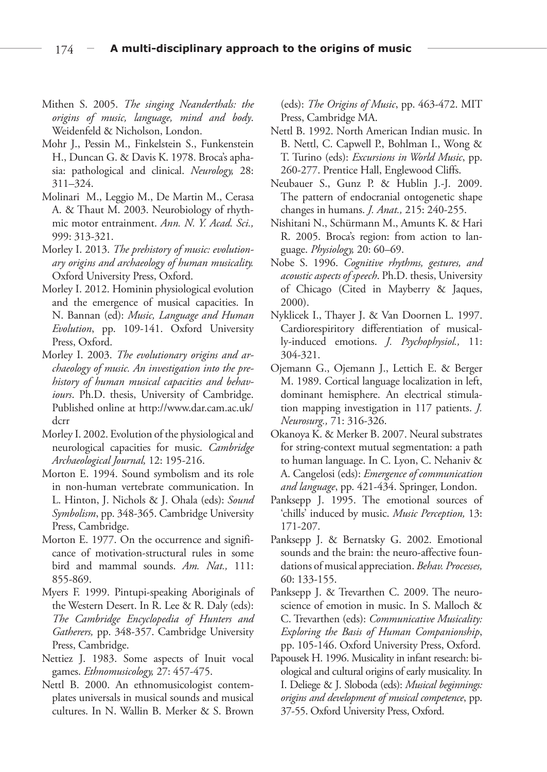- Mithen S. 2005. *The singing Neanderthals: the origins of music, language, mind and body*. Weidenfeld & Nicholson, London.
- Mohr J., Pessin M., Finkelstein S., Funkenstein H., Duncan G. & Davis K. 1978. Broca's aphasia: pathological and clinical. *Neurology,* 28: 311–324.
- Molinari M., Leggio M., De Martin M., Cerasa A. & Thaut M. 2003. Neurobiology of rhythmic motor entrainment. *Ann. N. Y. Acad. Sci.,* 999: 313-321.
- Morley I. 2013. *The prehistory of music: evolutionary origins and archaeology of human musicality.* Oxford University Press, Oxford.
- Morley I. 2012. Hominin physiological evolution and the emergence of musical capacities. In N. Bannan (ed): *Music, Language and Human Evolution*, pp. 109-141. Oxford University Press, Oxford.
- Morley I. 2003. *The evolutionary origins and archaeology of music. An investigation into the prehistory of human musical capacities and behaviours*. Ph.D. thesis, University of Cambridge. Published online at http://www.dar.cam.ac.uk/ dcrr
- Morley I. 2002. Evolution of the physiological and neurological capacities for music. *Cambridge Archaeological Journal,* 12: 195-216.
- Morton E. 1994. Sound symbolism and its role in non-human vertebrate communication. In L. Hinton, J. Nichols & J. Ohala (eds): *Sound Symbolism*, pp. 348-365. Cambridge University Press, Cambridge.
- Morton E. 1977. On the occurrence and significance of motivation-structural rules in some bird and mammal sounds. *Am. Nat.,* 111: 855-869.
- Myers F. 1999. Pintupi-speaking Aboriginals of the Western Desert. In R. Lee & R. Daly (eds): *The Cambridge Encyclopedia of Hunters and Gatherers,* pp. 348-357. Cambridge University Press, Cambridge.
- Nettiez J. 1983. Some aspects of Inuit vocal games. *Ethnomusicology,* 27: 457-475.
- Nettl B. 2000. An ethnomusicologist contemplates universals in musical sounds and musical cultures. In N. Wallin B. Merker & S. Brown

(eds): *The Origins of Music*, pp. 463-472. MIT Press, Cambridge MA.

- Nettl B. 1992. North American Indian music. In B. Nettl, C. Capwell P., Bohlman I., Wong & T. Turino (eds): *Excursions in World Music*, pp. 260-277. Prentice Hall, Englewood Cliffs.
- Neubauer S., Gunz P. & Hublin J.-J. 2009. The pattern of endocranial ontogenetic shape changes in humans. *J. Anat.,* 215: 240-255.
- Nishitani N., Schürmann M., Amunts K. & Hari R. 2005. Broca's region: from action to language. *Physiology,* 20: 60–69.
- Nobe S. 1996. *Cognitive rhythms, gestures, and acoustic aspects of speech*. Ph.D. thesis, University of Chicago (Cited in Mayberry & Jaques, 2000).
- Nyklicek I., Thayer J. & Van Doornen L. 1997. Cardiorespiritory differentiation of musically-induced emotions. *J. Psychophysiol.,* 11: 304-321.
- Ojemann G., Ojemann J., Lettich E. & Berger M. 1989. Cortical language localization in left, dominant hemisphere. An electrical stimulation mapping investigation in 117 patients. *J. Neurosurg.,* 71: 316-326.
- Okanoya K. & Merker B. 2007. Neural substrates for string-context mutual segmentation: a path to human language. In C. Lyon, C. Nehaniv & A. Cangelosi (eds): *Emergence of communication and language*, pp. 421-434. Springer, London.
- Panksepp J. 1995. The emotional sources of 'chills' induced by music. *Music Perception,* 13: 171-207.
- Panksepp J. & Bernatsky G. 2002. Emotional sounds and the brain: the neuro-affective foundations of musical appreciation. *Behav. Processes,* 60: 133-155.
- Panksepp J. & Trevarthen C. 2009. The neuroscience of emotion in music. In S. Malloch & C. Trevarthen (eds): *Communicative Musicality: Exploring the Basis of Human Companionship*, pp. 105-146. Oxford University Press, Oxford.
- Papousek H. 1996. Musicality in infant research: biological and cultural origins of early musicality. In I. Deliege & J. Sloboda (eds): *Musical beginnings: origins and development of musical competence*, pp. 37-55. Oxford University Press, Oxford.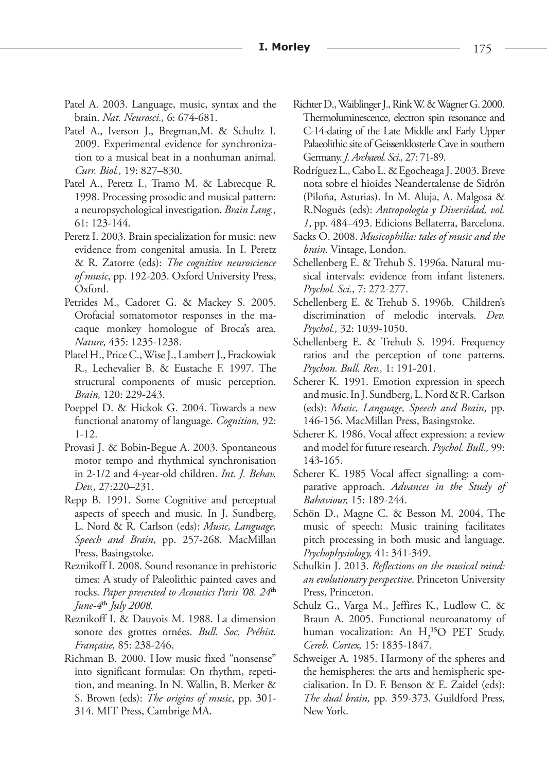- Patel A. 2003. Language, music, syntax and the brain. *Nat. Neurosci.,* 6: 674-681.
- Patel A., Iverson J., Bregman,M. & Schultz I. 2009. Experimental evidence for synchronization to a musical beat in a nonhuman animal. *Curr. Biol.,* 19: 827–830.
- Patel A., Peretz I., Tramo M. & Labrecque R. 1998. Processing prosodic and musical pattern: a neuropsychological investigation. *Brain Lang.,* 61: 123-144.
- Peretz I. 2003. Brain specialization for music: new evidence from congenital amusia. In I. Peretz & R. Zatorre (eds): *The cognitive neuroscience of music*, pp. 192-203. Oxford University Press, Oxford.
- Petrides M., Cadoret G. & Mackey S. 2005. Orofacial somatomotor responses in the macaque monkey homologue of Broca's area. *Nature,* 435: 1235-1238.
- Platel H., Price C., Wise J., Lambert J., Frackowiak R., Lechevalier B. & Eustache F. 1997. The structural components of music perception. *Brain,* 120: 229-243.
- Poeppel D. & Hickok G. 2004. Towards a new functional anatomy of language. *Cognition,* 92: 1-12.
- Provasi J. & Bobin-Begue A. 2003. Spontaneous motor tempo and rhythmical synchronisation in 2-1/2 and 4-year-old children. *Int. J. Behav. Dev.,* 27:220–231.
- Repp B. 1991. Some Cognitive and perceptual aspects of speech and music. In J. Sundberg, L. Nord & R. Carlson (eds): *Music, Language, Speech and Brain*, pp. 257-268. MacMillan Press, Basingstoke.
- Reznikoff I. 2008. Sound resonance in prehistoric times: A study of Paleolithic painted caves and rocks. *Paper presented to Acoustics Paris '08. 24***th** *June-4***th** *July 2008.*
- Reznikoff I. & Dauvois M. 1988. La dimension sonore des grottes ornées. *Bull. Soc. Préhist. Française,* 85: 238-246.
- Richman B. 2000. How music fixed "nonsense" into significant formulas: On rhythm, repetition, and meaning. In N. Wallin, B. Merker & S. Brown (eds): *The origins of music*, pp. 301- 314. MIT Press, Cambrige MA.
- Richter D., Waiblinger J., Rink W. & Wagner G. 2000. Thermoluminescence, electron spin resonance and C-14-dating of the Late Middle and Early Upper Palaeolithic site of Geissenklosterle Cave in southern Germany. *J. Archaeol. Sci.,* 27: 71-89.
- Rodríguez L., Cabo L. & Egocheaga J. 2003. Breve nota sobre el hioides Neandertalense de Sidrón (Piloña, Asturias). In M. Aluja, A. Malgosa & R.Nogués (eds): *Antropología y Diversidad, vol. 1*, pp. 484–493. Edicions Bellaterra, Barcelona.
- Sacks O. 2008. *Musicophilia: tales of music and the brain*. Vintage, London.
- Schellenberg E. & Trehub S. 1996a. Natural musical intervals: evidence from infant listeners. *Psychol. Sci.,* 7: 272-277.
- Schellenberg E. & Trehub S. 1996b. Children's discrimination of melodic intervals. *Dev. Psychol.,* 32: 1039-1050.
- Schellenberg E. & Trehub S. 1994. Frequency ratios and the perception of tone patterns. *Psychon. Bull. Rev.,* 1: 191-201.
- Scherer K. 1991. Emotion expression in speech and music. In J. Sundberg, L. Nord & R. Carlson (eds): *Music, Language, Speech and Brain*, pp. 146-156. MacMillan Press, Basingstoke.
- Scherer K. 1986. Vocal affect expression: a review and model for future research. *Psychol. Bull.,* 99: 143-165.
- Scherer K. 1985 Vocal affect signalling: a comparative approach. *Advances in the Study of Bahaviour,* 15: 189-244.
- Schön D., Magne C. & Besson M. 2004, The music of speech: Music training facilitates pitch processing in both music and language. *Psychophysiology,* 41: 341-349.
- Schulkin J. 2013. *Reflections on the musical mind: an evolutionary perspective*. Princeton University Press, Princeton.
- Schulz G., Varga M., Jeffires K., Ludlow C. & Braun A. 2005. Functional neuroanatomy of human vocalization: An H<sub>2</sub><sup>15</sup>O PET Study. *Cereb. Cortex,* 15: 1835-1847.
- Schweiger A. 1985. Harmony of the spheres and the hemispheres: the arts and hemispheric specialisation. In D. F. Benson & E. Zaidel (eds): *The dual brain,* pp*.* 359-373. Guildford Press, New York.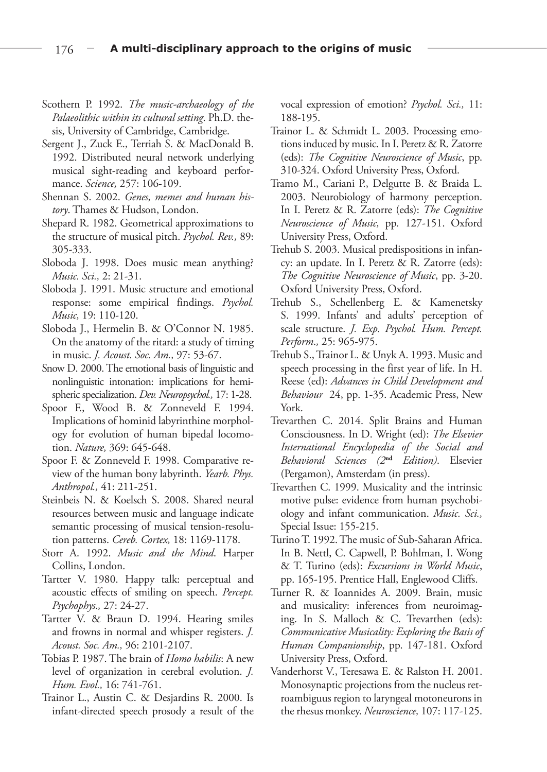- Scothern P. 1992. *The music-archaeology of the Palaeolithic within its cultural setting*. Ph.D. thesis, University of Cambridge, Cambridge.
- Sergent J., Zuck E., Terriah S. & MacDonald B. 1992. Distributed neural network underlying musical sight-reading and keyboard performance. *Science,* 257: 106-109.
- Shennan S. 2002. *Genes, memes and human history*. Thames & Hudson, London.
- Shepard R. 1982. Geometrical approximations to the structure of musical pitch. *Psychol. Rev.,* 89: 305-333.
- Sloboda J. 1998. Does music mean anything? *Music. Sci.,* 2: 21-31.
- Sloboda J. 1991. Music structure and emotional response: some empirical findings. *Psychol. Music,* 19: 110-120.
- Sloboda J., Hermelin B. & O'Connor N. 1985. On the anatomy of the ritard: a study of timing in music. *J. Acoust. Soc. Am.,* 97: 53-67.
- Snow D. 2000. The emotional basis of linguistic and nonlinguistic intonation: implications for hemispheric specialization. *Dev. Neuropsychol.,* 17: 1-28.
- Spoor F., Wood B. & Zonneveld F. 1994. Implications of hominid labyrinthine morphology for evolution of human bipedal locomotion. *Nature,* 369: 645-648.
- Spoor F. & Zonneveld F. 1998. Comparative review of the human bony labyrinth. *Yearb. Phys. Anthropol.,* 41: 211-251.
- Steinbeis N. & Koelsch S. 2008. Shared neural resources between music and language indicate semantic processing of musical tension-resolution patterns. *Cereb. Cortex,* 18: 1169-1178.
- Storr A. 1992. *Music and the Mind*. Harper Collins, London.
- Tartter V. 1980. Happy talk: perceptual and acoustic effects of smiling on speech. *Percept. Psychophys*.*,* 27: 24-27.
- Tartter V. & Braun D. 1994. Hearing smiles and frowns in normal and whisper registers. *J. Acoust. Soc. Am.,* 96: 2101-2107.
- Tobias P. 1987. The brain of *Homo habilis*: A new level of organization in cerebral evolution. *J. Hum. Evol.,* 16: 741-761.
- Trainor L., Austin C. & Desjardins R. 2000. Is infant-directed speech prosody a result of the

vocal expression of emotion? *Psychol. Sci.,* 11: 188-195.

- Trainor L. & Schmidt L. 2003. Processing emotions induced by music. In I. Peretz & R. Zatorre (eds): *The Cognitive Neuroscience of Music*, pp. 310-324. Oxford University Press, Oxford.
- Tramo M., Cariani P., Delgutte B. & Braida L. 2003. Neurobiology of harmony perception. In I. Peretz & R. Zatorre (eds): *The Cognitive Neuroscience of Music,* pp*.* 127-151. Oxford University Press, Oxford.
- Trehub S. 2003. Musical predispositions in infancy: an update. In I. Peretz & R. Zatorre (eds): *The Cognitive Neuroscience of Music*, pp. 3-20. Oxford University Press, Oxford.
- Trehub S., Schellenberg E. & Kamenetsky S. 1999. Infants' and adults' perception of scale structure. *J. Exp. Psychol. Hum. Percept. Perform*.*,* 25: 965-975.
- Trehub S., Trainor L. & Unyk A. 1993. Music and speech processing in the first year of life. In H. Reese (ed): *Advances in Child Development and Behaviour* 24, pp. 1-35. Academic Press, New York.
- Trevarthen C. 2014. Split Brains and Human Consciousness. In D. Wright (ed): *The Elsevier International Encyclopedia of the Social and Behavioral Sciences (2***nd** *Edition)*. Elsevier (Pergamon), Amsterdam (in press).
- Trevarthen C. 1999. Musicality and the intrinsic motive pulse: evidence from human psychobiology and infant communication. *Music. Sci.,* Special Issue: 155-215.
- Turino T. 1992. The music of Sub-Saharan Africa. In B. Nettl, C. Capwell, P. Bohlman, I. Wong & T. Turino (eds): *Excursions in World Music*, pp. 165-195. Prentice Hall, Englewood Cliffs.
- Turner R. & Ioannides A. 2009. Brain, music and musicality: inferences from neuroimaging. In S. Malloch & C. Trevarthen (eds): *Communicative Musicality: Exploring the Basis of Human Companionship*, pp. 147-181. Oxford University Press, Oxford.
- Vanderhorst V., Teresawa E. & Ralston H. 2001. Monosynaptic projections from the nucleus retroambiguus region to laryngeal motoneurons in the rhesus monkey. *Neuroscience,* 107: 117-125.